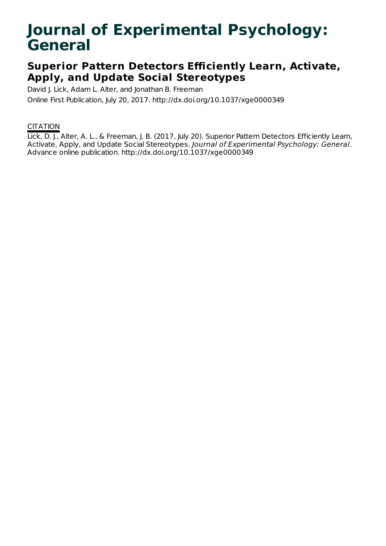# **Journal of Experimental Psychology: General**

## **Superior Pattern Detectors Efficiently Learn, Activate, Apply, and Update Social Stereotypes**

David J. Lick, Adam L. Alter, and Jonathan B. Freeman

Online First Publication, July 20, 2017. http://dx.doi.org/10.1037/xge0000349

### **CITATION**

Lick, D. J., Alter, A. L., & Freeman, J. B. (2017, July 20). Superior Pattern Detectors Efficiently Learn, Activate, Apply, and Update Social Stereotypes. Journal of Experimental Psychology: General. Advance online publication. http://dx.doi.org/10.1037/xge0000349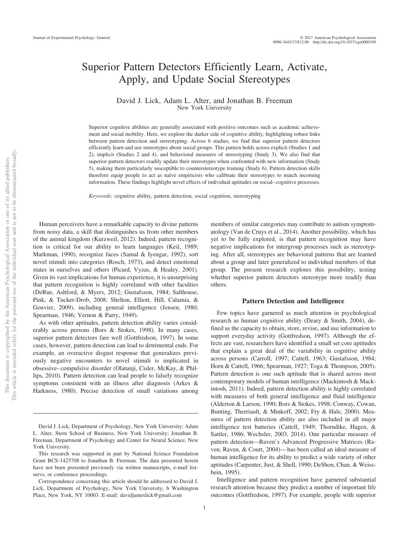### Superior Pattern Detectors Efficiently Learn, Activate, Apply, and Update Social Stereotypes

#### David J. Lick, Adam L. Alter, and Jonathan B. Freeman New York University

Superior cognitive abilities are generally associated with positive outcomes such as academic achievement and social mobility. Here, we explore the darker side of cognitive ability, highlighting robust links between pattern detection and stereotyping. Across 6 studies, we find that superior pattern detectors efficiently learn and use stereotypes about social groups. This pattern holds across explicit (Studies 1 and 2), implicit (Studies 2 and 4), and behavioral measures of stereotyping (Study 3). We also find that superior pattern detectors readily update their stereotypes when confronted with new information (Study 5), making them particularly susceptible to counterstereotype training (Study 6). Pattern detection skills therefore equip people to act as naïve empiricists who calibrate their stereotypes to match incoming information. These findings highlight novel effects of individual aptitudes on social– cognitive processes.

*Keywords:* cognitive ability, pattern detection, social cognition, stereotyping

Human perceivers have a remarkable capacity to divine patterns from noisy data, a skill that distinguishes us from other members of the animal kingdom [\(Kurzweil, 2012\)](#page-17-0). Indeed, pattern recognition is critical for our ability to learn languages (Keil, 1989; Markman, 1990), recognize faces (Samal & Iyengar, 1992), sort novel stimuli into categories (Rosch, 1973), and detect emotional states in ourselves and others (Picard, Vyzas, & Healey, 2001). Given its vast implications for human experience, it is unsurprising that pattern recognition is highly correlated with other faculties (DeRue, Ashford, & Myers, 2012; Gustafsson, 1984; Salthouse, Pink, & Tucker-Drob, 2008; Shelton, Elliott, Hill, Calamia, & Gouvier, 2009), including general intelligence (Jensen, 1980; Spearman, 1946; Vernon & Parry, 1949).

As with other aptitudes, pattern detection ability varies considerably across persons (Bors & Stokes, 1998). In many cases, superior pattern detectors fare well (Gottfredson, 1997). In some cases, however, pattern detection can lead to detrimental ends. For example, an overactive disgust response that generalizes previously negative encounters to novel stimuli is implicated in obsessive– compulsive disorder (Olatunji, Cisler, McKay, & Phillips, 2010). Pattern detection can lead people to falsely recognize symptoms consistent with an illness after diagnosis (Arkes & Harkness, 1980). Precise detection of small variations among

members of similar categories may contribute to autism symptomatology (Van de Cruys et al., 2014). Another possibility, which has yet to be fully explored, is that pattern recognition may have negative implications for intergroup processes such as stereotyping. After all, stereotypes are behavioral patterns that are learned about a group and later generalized to individual members of that group. The present research explores this possibility, testing whether superior pattern detectors stereotype more readily than others.

#### **Pattern Detection and Intelligence**

Few topics have garnered as much attention in psychological research as human cognitive ability (Deary & Smith, 2004), defined as the capacity to obtain, store, revise, and use information to support everyday activity (Gottfredson, 1997). Although the effects are vast, researchers have identified a small set core aptitudes that explain a great deal of the variability in cognitive ability across persons (Carroll, 1997; Cattell, 1963; Gustafsson, 1984; Horn & Cattell, 1966; Spearman, 1927; Toga & Thompson, 2005). Pattern detection is one such aptitude that is shared across most contemporary models of human intelligence (Mackintosh & Mackintosh, 2011). Indeed, pattern detection ability is highly correlated with measures of both general intelligence and fluid intelligence (Alderton & Larson, 1990; Bors & Stokes, 1998; Conway, Cowan, Bunting, Therriault, & Minkoff, 2002; Fry & Hale, 2000). Measures of pattern detection ability are also included in all major intelligence test batteries (Cattell, 1949; Thorndike, Hagen, & Sattler, 1986; Wechsler, 2003, 2014). One particular measure of pattern detection—Raven's Advanced Progressive Matrices [\(Ra](#page-18-0)[ven, Raven, & Court, 2004\)](#page-18-0)— has been called an ideal measure of human intelligence for its ability to predict a wide variety of other aptitudes (Carpenter, Just, & Shell, 1990; DeShon, Chan, & Weissbein, 1995).

Intelligence and pattern recognition have garnered substantial research attention because they predict a number of important life outcomes (Gottfredson, 1997). For example, people with superior

David J. Lick, Department of Psychology, New York University; Adam L. Alter, Stern School of Business, New York University; Jonathan B. Freeman, Department of Psychology and Center for Neural Science, New York University.

This research was supported in part by National Science Foundation Grant BCS-1423708 to Jonathan B. Freeman. The data presented herein have not been presented previously via written manuscripts, e-mail listservs, or conference proceedings.

Correspondence concerning this article should be addressed to David J. Lick, Department of Psychology, New York University, 6 Washington Place, New York, NY 10003. E-mail: [davidjameslick@gmail.com](mailto:davidjameslick@gmail.com)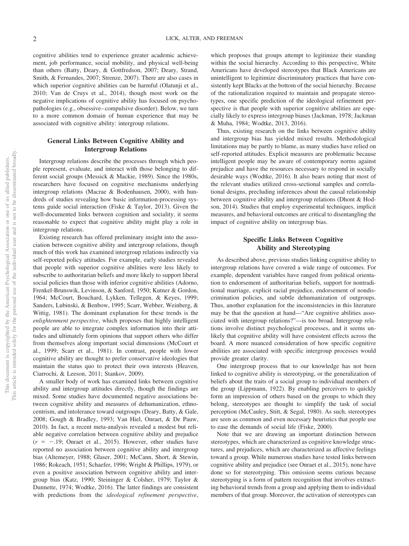cognitive abilities tend to experience greater academic achievement, job performance, social mobility, and physical well-being than others (Batty, Deary, & Gottfredson, 2007; Deary, Strand, Smith, & Fernandes, 2007; Strenze, 2007). There are also cases in which superior cognitive abilities can be harmful (Olatunji et al., 2010; Van de Cruys et al., 2014), though most work on the negative implications of cognitive ability has focused on psychopathologies (e.g., obsessive– compulsive disorder). Below, we turn to a more common domain of human experience that may be associated with cognitive ability: intergroup relations.

#### **General Links Between Cognitive Ability and Intergroup Relations**

Intergroup relations describe the processes through which people represent, evaluate, and interact with those belonging to different social groups (Messick & Mackie, 1989). Since the 1980s, researchers have focused on cognitive mechanisms underlying intergroup relations (Macrae & Bodenhausen, 2000), with hundreds of studies revealing how basic information-processing systems guide social interaction (Fiske & Taylor, 2013). Given the well-documented links between cognition and sociality, it seems reasonable to expect that cognitive ability might play a role in intergroup relations.

Existing research has offered preliminary insight into the association between cognitive ability and intergroup relations, though much of this work has examined intergroup relations indirectly via self-reported policy attitudes. For example, early studies revealed that people with superior cognitive abilities were less likely to subscribe to authoritarian beliefs and more likely to support liberal social policies than those with inferior cognitive abilities (Adorno, Frenkel-Brunswik, Levinson, & Sanford, 1950; Kutner & Gordon, 1964; McCourt, Bouchard, Lykken, Tellegen, & Keyes, 1999; Sanders, Lubinski, & Benbow, 1995; Scarr, Webber, Weinberg, & Wittig, 1981). The dominant explanation for these trends is the *enlightenment perspective*, which proposes that highly intelligent people are able to integrate complex information into their attitudes and ultimately form opinions that support others who differ from themselves along important social dimensions (McCourt et al., 1999; Scarr et al., 1981). In contrast, people with lower cognitive ability are thought to prefer conservative ideologies that maintain the status quo to protect their own interests [\(Heaven,](#page-17-1) [Ciarrochi, & Leeson, 2011;](#page-17-1) Stankov, 2009).

A smaller body of work has examined links between cognitive ability and intergroup attitudes directly, though the findings are mixed. Some studies have documented negative associations between cognitive ability and measures of dehumanization, ethnocentrism, and intolerance toward outgroups (Deary, Batty, & Gale, 2008; [Gough & Bradley, 1993;](#page-17-2) Van Hiel, Onraet, & De Pauw, 2010). In fact, a recent meta-analysis revealed a modest but reliable negative correlation between cognitive ability and prejudice  $(r = -.19;$  [Onraet et al., 2015\)](#page-18-1). However, other studies have reported no association between cognitive ability and intergroup bias (Altemeyer, 1988; [Glaser, 2001;](#page-17-3) McCann, Short, & Stewin, 1986; Rokeach, 1951; Schaefer, 1996; Wright & Phillips, 1979), or even a positive association between cognitive ability and intergroup bias (Katz, 1990; Steininger & Colsher, 1979; Taylor & Dunnette, 1974; Wodtke, 2016). The latter findings are consistent with predictions from the *ideological refinement perspective*,

which proposes that groups attempt to legitimize their standing within the social hierarchy. According to this perspective, White Americans have developed stereotypes that Black Americans are unintelligent to legitimize discriminatory practices that have consistently kept Blacks at the bottom of the social hierarchy. Because of the rationalization required to maintain and propagate stereotypes, one specific prediction of the ideological refinement perspective is that people with superior cognitive abilities are especially likely to express intergroup biases (Jackman, 1978; Jackman & Muha, 1984; Wodtke, 2013, 2016).

Thus, existing research on the links between cognitive ability and intergroup bias has yielded mixed results. Methodological limitations may be partly to blame, as many studies have relied on self-reported attitudes. Explicit measures are problematic because intelligent people may be aware of contemporary norms against prejudice and have the resources necessary to respond in socially desirable ways (Wodtke, 2016). It also bears noting that most of the relevant studies utilized cross-sectional samples and correlational designs, precluding inferences about the causal relationship between cognitive ability and intergroup relations (Dhont & Hodson, 2014). Studies that employ experimental techniques, implicit measures, and behavioral outcomes are critical to disentangling the impact of cognitive ability on intergroup bias.

#### **Specific Links Between Cognitive Ability and Stereotyping**

As described above, previous studies linking cognitive ability to intergroup relations have covered a wide range of outcomes. For example, dependent variables have ranged from political orientation to endorsement of authoritarian beliefs, support for nontraditional marriage, explicit racial prejudice, endorsement of nondiscrimination policies, and subtle dehumanization of outgroups. Thus, another explanation for the inconsistencies in this literature may be that the question at hand—"Are cognitive abilities associated with intergroup relations?"—is too broad. Intergroup relations involve distinct psychological processes, and it seems unlikely that cognitive ability will have consistent effects across the board. A more nuanced consideration of how specific cognitive abilities are associated with specific intergroup processes would provide greater clarity.

One intergroup process that to our knowledge has not been linked to cognitive ability is stereotyping, or the generalization of beliefs about the traits of a social group to individual members of the group (Lippmann, 1922). By enabling perceivers to quickly form an impression of others based on the groups to which they belong, stereotypes are thought to simplify the task of social perception (McCauley, Stitt, & Segal, 1980). As such, stereotypes are seen as common and even necessary heuristics that people use to ease the demands of social life (Fiske, 2000).

Note that we are drawing an important distinction between stereotypes, which are characterized as cognitive knowledge structures, and prejudices, which are characterized as affective feelings toward a group. While numerous studies have tested links between cognitive ability and prejudice (see [Onraet et al., 2015\)](#page-18-1), none have done so for stereotyping. This omission seems curious because stereotyping is a form of pattern recognition that involves extracting behavioral trends from a group and applying them to individual members of that group. Moreover, the activation of stereotypes can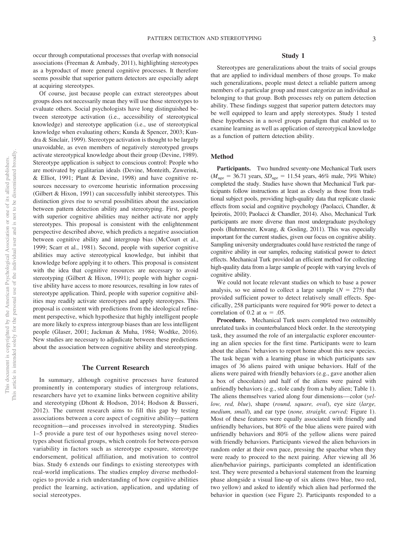occur through computational processes that overlap with nonsocial associations (Freeman & Ambady, 2011), highlighting stereotypes as a byproduct of more general cognitive processes. It therefore seems possible that superior pattern detectors are especially adept at acquiring stereotypes.

Of course, just because people can extract stereotypes about groups does not necessarily mean they will use those stereotypes to evaluate others. Social psychologists have long distinguished between stereotype activation (i.e., accessibility of stereotypical knowledge) and stereotype application (i.e., use of stereotypical knowledge when evaluating others; [Kunda & Spencer, 2003;](#page-17-4) Kundra & Sinclair, 1999). Stereotype activation is thought to be largely unavoidable, as even members of negatively stereotyped groups activate stereotypical knowledge about their group (Devine, 1989). Stereotype application is subject to conscious control: People who are motivated by egalitarian ideals (Devine, Monteith, Zuwerink, & Elliot, 1991; [Plant & Devine, 1998\)](#page-18-2) and have cognitive resources necessary to overcome heuristic information processing (Gilbert & Hixon, 1991) can successfully inhibit stereotypes. This distinction gives rise to several possibilities about the association between pattern detection ability and stereotyping. First, people with superior cognitive abilities may neither activate nor apply stereotypes. This proposal is consistent with the enlightenment perspective described above, which predicts a negative association between cognitive ability and intergroup bias (McCourt et al., 1999; Scarr et al., 1981). Second, people with superior cognitive abilities may active stereotypical knowledge, but inhibit that knowledge before applying it to others. This proposal is consistent with the idea that cognitive resources are necessary to avoid stereotyping (Gilbert & Hixon, 1991); people with higher cognitive ability have access to more resources, resulting in low rates of stereotype application. Third, people with superior cognitive abilities may readily activate stereotypes and apply stereotypes. This proposal is consistent with predictions from the ideological refinement perspective, which hypothesize that highly intelligent people are more likely to express intergroup biases than are less intelligent people [\(Glaser, 2001;](#page-17-3) Jackman & Muha, 1984; Wodtke, 2016). New studies are necessary to adjudicate between these predictions about the association between cognitive ability and stereotyping.

#### **The Current Research**

In summary, although cognitive processes have featured prominently in contemporary studies of intergroup relations, researchers have yet to examine links between cognitive ability and stereotyping (Dhont & Hodson, 2014; Hodson & Busseri, 2012). The current research aims to fill this gap by testing associations between a core aspect of cognitive ability—pattern recognition—and processes involved in stereotyping. Studies 1–5 provide a pure test of our hypotheses using novel stereotypes about fictional groups, which controls for between-person variability in factors such as stereotype exposure, stereotype endorsement, political affiliation, and motivation to control bias. Study 6 extends our findings to existing stereotypes with real-world implications. The studies employ diverse methodologies to provide a rich understanding of how cognitive abilities predict the learning, activation, application, and updating of social stereotypes.

#### **Study 1**

Stereotypes are generalizations about the traits of social groups that are applied to individual members of those groups. To make such generalizations, people must detect a reliable pattern among members of a particular group and must categorize an individual as belonging to that group. Both processes rely on pattern detection ability. These findings suggest that superior pattern detectors may be well equipped to learn and apply stereotypes. Study 1 tested these hypotheses in a novel groups paradigm that enabled us to examine learning as well as application of stereotypical knowledge as a function of pattern detection ability.

#### **Method**

**Participants.** Two hundred seventy-one Mechanical Turk users  $(M<sub>age</sub> = 36.71 \text{ years}, SD<sub>age</sub> = 11.54 \text{ years}, 46\% \text{ male}, 79\% \text{ White})$ completed the study. Studies have shown that Mechanical Turk participants follow instructions at least as closely as those from traditional subject pools, providing high-quality data that replicate classic effects from social and cognitive psychology [\(Paolacci, Chandler, &](#page-18-3) [Ipeirotis, 2010;](#page-18-3) Paolacci & Chandler, 2014). Also, Mechanical Turk participants are more diverse than most undergraduate psychology pools (Buhrmester, Kwang, & Gosling, 2011). This was especially important for the current studies, given our focus on cognitive ability. Sampling university undergraduates could have restricted the range of cognitive ability in our samples, reducing statistical power to detect effects. Mechanical Turk provided an efficient method for collecting high-quality data from a large sample of people with varying levels of cognitive ability.

We could not locate relevant studies on which to base a power analysis, so we aimed to collect a large sample  $(N = 275)$  that provided sufficient power to detect relatively small effects. Specifically, 258 participants were required for 90% power to detect a correlation of 0.2 at  $\alpha = .05$ .

**Procedure.** Mechanical Turk users completed two ostensibly unrelated tasks in counterbalanced block order. In the stereotyping task, they assumed the role of an intergalactic explorer encountering an alien species for the first time. Participants were to learn about the aliens' behaviors to report home about this new species. The task began with a learning phase in which participants saw images of 36 aliens paired with unique behaviors. Half of the aliens were paired with friendly behaviors (e.g., gave another alien a box of chocolates) and half of the aliens were paired with unfriendly behaviors (e.g., stole candy from a baby alien; [Table 1\)](#page-4-0). The aliens themselves varied along four dimensions— color (*yellow, red, blue*), shape (*round, square, oval*), eye size (*large, medium, small*), and ear type (*none, straight, curved;* Figure 1). Most of these features were equally associated with friendly and unfriendly behaviors, but 80% of the blue aliens were paired with unfriendly behaviors and 80% of the yellow aliens were paired with friendly behaviors. Participants viewed the alien behaviors in random order at their own pace, pressing the spacebar when they were ready to proceed to the next pairing. After viewing all 36 alien/behavior pairings, participants completed an identification test. They were presented a behavioral statement from the learning phase alongside a visual line-up of six aliens (two blue, two red, two yellow) and asked to identify which alien had performed the behavior in question (see Figure 2). Participants responded to a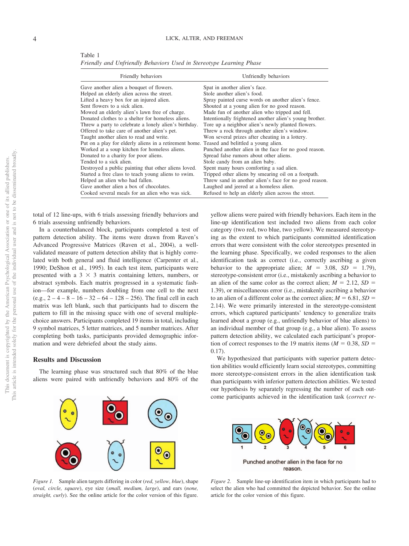<span id="page-4-0"></span>Table 1 *Friendly and Unfriendly Behaviors Used in Stereotype Learning Phase*

| Friendly behaviors                                                                         | Unfriendly behaviors                                    |
|--------------------------------------------------------------------------------------------|---------------------------------------------------------|
| Gave another alien a bouquet of flowers.                                                   | Spat in another alien's face.                           |
| Helped an elderly alien across the street.                                                 | Stole another alien's food.                             |
| Lifted a heavy box for an injured alien.                                                   | Spray painted curse words on another alien's fence.     |
| Sent flowers to a sick alien.                                                              | Shouted at a young alien for no good reason.            |
| Mowed an elderly alien's lawn free of charge.                                              | Made fun of another alien who tripped and fell.         |
| Donated clothes to a shelter for homeless aliens.                                          | Intentionally frightened another alien's young brother. |
| Threw a party to celebrate a lonely alien's birthday.                                      | Tore up a neighbor alien's newly planted flowers.       |
| Offered to take care of another alien's pet.                                               | Threw a rock through another alien's window.            |
| Taught another alien to read and write.                                                    | Won several prizes after cheating in a lottery.         |
| Put on a play for elderly aliens in a retirement home. Teased and belittled a young alien. |                                                         |
| Worked at a soup kitchen for homeless aliens.                                              | Punched another alien in the face for no good reason.   |
| Donated to a charity for poor aliens.                                                      | Spread false rumors about other aliens.                 |
| Tended to a sick alien.                                                                    | Stole candy from an alien baby.                         |
| Destroyed a public painting that other aliens loved.                                       | Spent many hours comforting a sad alien.                |
| Started a free class to teach young aliens to swim.                                        | Tripped other aliens by smearing oil on a footpath.     |
| Helped an alien who had fallen.                                                            | Threw sand in another alien's face for no good reason.  |
| Gave another alien a box of chocolates.                                                    | Laughed and jeered at a homeless alien.                 |
| Cooked several meals for an alien who was sick.                                            | Refused to help an elderly alien across the street.     |

total of 12 line-ups, with 6 trials assessing friendly behaviors and 6 trials assessing unfriendly behaviors.

In a counterbalanced block, participants completed a test of pattern detection ability. The items were drawn from Raven's Advanced Progressive Matrices [\(Raven et al., 2004\)](#page-18-0), a wellvalidated measure of pattern detection ability that is highly correlated with both general and fluid intelligence (Carpenter et al., 1990; DeShon et al., 1995). In each test item, participants were presented with a  $3 \times 3$  matrix containing letters, numbers, or abstract symbols. Each matrix progressed in a systematic fashion—for example, numbers doubling from one cell to the next (e.g.,  $2 - 4 - 8 - 16 - 32 - 64 - 128 - 256$ ). The final cell in each matrix was left blank, such that participants had to discern the pattern to fill in the missing space with one of several multiplechoice answers. Participants completed 19 items in total, including 9 symbol matrices, 5 letter matrices, and 5 number matrices. After completing both tasks, participants provided demographic information and were debriefed about the study aims.

#### **Results and Discussion**

The learning phase was structured such that 80% of the blue aliens were paired with unfriendly behaviors and 80% of the



We hypothesized that participants with superior pattern detection abilities would efficiently learn social stereotypes, committing more stereotype-consistent errors in the alien identification task than participants with inferior pattern detection abilities. We tested our hypothesis by separately regressing the number of each outcome participants achieved in the identification task (*correct re-*



*Figure 1.* Sample alien targets differing in color (*red, yellow, blue*), shape (*oval, circle, square*), eye size (*small, medium, large*), and ears (*none, straight, curly*). See the online article for the color version of this figure.



*Figure 2.* Sample line-up identification item in which participants had to select the alien who had committed the depicted behavior. See the online article for the color version of this figure.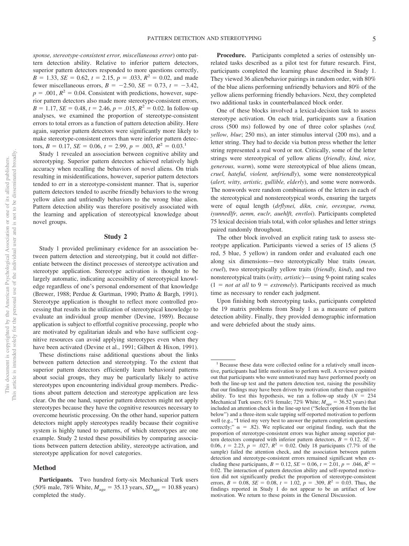*sponse, stereotype-consistent error, miscellaneous error*) onto pattern detection ability. Relative to inferior pattern detectors, superior pattern detectors responded to more questions correctly,  $B = 1.33$ ,  $SE = 0.62$ ,  $t = 2.15$ ,  $p = .033$ ,  $R^2 = 0.02$ , and made fewer miscellaneous errors,  $B = -2.50$ ,  $SE = 0.73$ ,  $t = -3.42$ ,  $p = .001$ ,  $R^2 = 0.04$ . Consistent with predictions, however, superior pattern detectors also made more stereotype-consistent errors,  $B = 1.17$ , *SE* = 0.48,  $t = 2.46$ ,  $p = .015$ ,  $R^2 = 0.02$ . In follow-up analyses, we examined the proportion of stereotype-consistent errors to total errors as a function of pattern detection ability. Here again, superior pattern detectors were significantly more likely to make stereotype-consistent errors than were inferior pattern detectors,  $B = 0.17$ ,  $SE = 0.06$ ,  $t = 2.99$ ,  $p = .003$ ,  $R^2 = 0.03$ .<sup>1</sup>

Study 1 revealed an association between cognitive ability and stereotyping. Superior pattern detectors achieved relatively high accuracy when recalling the behaviors of novel aliens. On trials resulting in misidentifications, however, superior pattern detectors tended to err in a stereotype-consistent manner. That is, superior pattern detectors tended to ascribe friendly behaviors to the wrong yellow alien and unfriendly behaviors to the wrong blue alien. Pattern detection ability was therefore positively associated with the learning and application of stereotypical knowledge about novel groups.

#### **Study 2**

Study 1 provided preliminary evidence for an association between pattern detection and stereotyping, but it could not differentiate between the distinct processes of stereotype activation and stereotype application. Stereotype activation is thought to be largely automatic, indicating accessibility of stereotypical knowledge regardless of one's personal endorsement of that knowledge (Brewer, 1988; [Perdue & Gurtman, 1990;](#page-18-4) Pratto & Bargh, 1991). Stereotype application is thought to reflect more controlled processing that results in the utilization of stereotypical knowledge to evaluate an individual group member (Devine, 1989). Because application is subject to effortful cognitive processing, people who are motivated by egalitarian ideals and who have sufficient cognitive resources can avoid applying stereotypes even when they have been activated (Devine et al., 1991; Gilbert & Hixon, 1991).

These distinctions raise additional questions about the links between pattern detection and stereotyping. To the extent that superior pattern detectors efficiently learn behavioral patterns about social groups, they may be particularly likely to active stereotypes upon encountering individual group members. Predictions about pattern detection and stereotype application are less clear. On the one hand, superior pattern detectors might not apply stereotypes because they have the cognitive resources necessary to overcome heuristic processing. On the other hand, superior pattern detectors might apply stereotypes readily because their cognitive system is highly tuned to patterns, of which stereotypes are one example. Study 2 tested these possibilities by comparing associations between pattern detection ability, stereotype activation, and stereotype application for novel categories.

#### **Method**

**Procedure.** Participants completed a series of ostensibly unrelated tasks described as a pilot test for future research. First, participants completed the learning phase described in Study 1. They viewed 36 alien/behavior pairings in random order, with 80% of the blue aliens performing unfriendly behaviors and 80% of the yellow aliens performing friendly behaviors. Next, they completed two additional tasks in counterbalanced block order.

One of these blocks involved a lexical-decision task to assess stereotype activation. On each trial, participants saw a fixation cross (500 ms) followed by one of three color splashes (*red, yellow, blue*; 250 ms), an inter stimulus interval (200 ms), and a letter string. They had to decide via button press whether the letter string represented a real word or not. Critically, some of the letter strings were stereotypical of yellow aliens (*friendly, kind, nice, generous, warm*), some were stereotypical of blue aliens (mean, *cruel, hateful, violent, unfriendly*), some were nonstereotypical (*alert, witty, artistic, gullible, elderly*), and some were nonwords. The nonwords were random combinations of the letters in each of the stereotypical and nonstereotypical words, ensuring the targets were of equal length (*drflynei, dikn, cnie, oresngue, rwma, iyunnedlfr, aenm, euclr, auehlft, envtloi*). Participants completed 75 lexical decision trials total, with color splashes and letter strings paired randomly throughout.

The other block involved an explicit rating task to assess stereotype application. Participants viewed a series of 15 aliens (5 red, 5 blue, 5 yellow) in random order and evaluated each one along six dimensions—two stereotypically blue traits (*mean, cruel*), two stereotypically yellow traits (*friendly, kind*), and two nonstereotypical traits (*witty, artistic*)— using 9-point rating scales  $(1 = not at all to 9 = extremely)$ . Participants received as much time as necessary to render each judgment.

Upon finishing both stereotyping tasks, participants completed the 19 matrix problems from Study 1 as a measure of pattern detection ability. Finally, they provided demographic information and were debriefed about the study aims.

**Participants.** Two hundred forty-six Mechanical Turk users  $(50\% \text{ male}, 78\% \text{ White}, M_{\text{age}} = 35.13 \text{ years}, SD_{\text{age}} = 10.88 \text{ years})$ completed the study.

<sup>&</sup>lt;sup>1</sup> Because these data were collected online for a relatively small incentive, participants had little motivation to perform well. A reviewer pointed out that participants who were unmotivated may have performed poorly on both the line-up test and the pattern detection test, raising the possibility that our findings may have been driven by motivation rather than cognitive ability. To test this hypothesis, we ran a follow-up study  $(N = 234)$ Mechanical Turk users;  $61\%$  female;  $72\%$  White;  $M_{\text{age}} = 36.52$  years) that included an attention check in the line-up test ("Select option 4 from the list below") and a three-item scale tapping self-reported motivation to perform well (e.g., "I tried my very best to answer the pattern completion questions correctly;"  $\alpha$  = .82). We replicated our original finding, such that the proportion of stereotype-consistent errors was higher among superior pattern detectors compared with inferior pattern detectors,  $B = 0.12$ ,  $SE =$ 0.06,  $t = 2.23$ ,  $p = .027$ ,  $R^2 = 0.02$ . Only 18 participants (7.7% of the sample) failed the attention check, and the association between pattern detection and stereotype-consistent errors remained significant when excluding these participants,  $B = 0.12$ ,  $SE = 0.06$ ,  $t = 2.01$ ,  $p = .046$ ,  $R^2 =$ 0.02. The interaction of pattern detection ability and self-reported motivation did not significantly predict the proportion of stereotype-consistent errors,  $B = 0.08$ ,  $SE = 0.08$ ,  $t = 1.02$ ,  $p = .309$ ,  $R^2 = 0.03$ . Thus, the findings reported in Study 1 do not appear to be an artifact of low motivation. We return to these points in the General Discussion.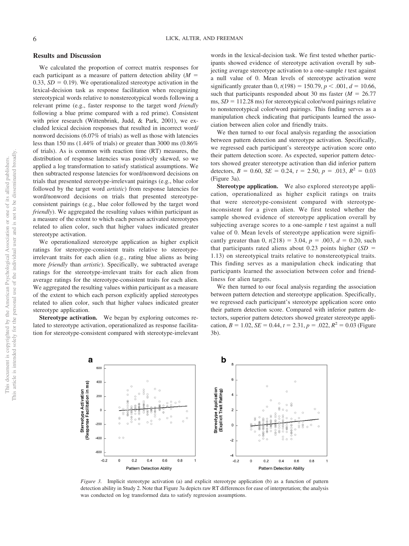#### **Results and Discussion**

We calculated the proportion of correct matrix responses for each participant as a measure of pattern detection ability  $(M =$ 0.33,  $SD = 0.19$ ). We operationalized stereotype activation in the lexical-decision task as response facilitation when recognizing stereotypical words relative to nonstereotypical words following a relevant prime (e.g., faster response to the target word *friendly* following a blue prime compared with a red prime). Consistent with prior research (Wittenbrink, Judd, & Park, 2001), we excluded lexical decision responses that resulted in incorrect word/ nonword decisions (6.07% of trials) as well as those with latencies less than 150 ms (1.44% of trials) or greater than 3000 ms (0.86% of trials). As is common with reaction time (RT) measures, the distribution of response latencies was positively skewed, so we applied a log transformation to satisfy statistical assumptions. We then subtracted response latencies for word/nonword decisions on trials that presented stereotype-irrelevant pairings (e.g., blue color followed by the target word *artistic*) from response latencies for word/nonword decisions on trials that presented stereotypeconsistent pairings (e.g., blue color followed by the target word *friendly*). We aggregated the resulting values within participant as a measure of the extent to which each person activated stereotypes related to alien color, such that higher values indicated greater stereotype activation.

We operationalized stereotype application as higher explicit ratings for stereotype-consistent traits relative to stereotypeirrelevant traits for each alien (e.g., rating blue aliens as being more *friendly* than *artistic*). Specifically, we subtracted average ratings for the stereotype-irrelevant traits for each alien from average ratings for the stereotype-consistent traits for each alien. We aggregated the resulting values within participant as a measure of the extent to which each person explicitly applied stereotypes related to alien color, such that higher values indicated greater stereotype application.

**Stereotype activation.** We began by exploring outcomes related to stereotype activation, operationalized as response facilitation for stereotype-consistent compared with stereotype-irrelevant

words in the lexical-decision task. We first tested whether participants showed evidence of stereotype activation overall by subjecting average stereotype activation to a one-sample *t* test against a null value of 0. Mean levels of stereotype activation were significantly greater than  $0, t(198) = 150.79, p < .001, d = 10.66,$ such that participants responded about 30 ms faster  $(M = 26.77)$  $ms, SD = 112.28 \text{ ms}$ ) for stereotypical color/word pairings relative to nonstereotypical color/word pairings. This finding serves as a manipulation check indicating that participants learned the association between alien color and friendly traits.

We then turned to our focal analysis regarding the association between pattern detection and stereotype activation. Specifically, we regressed each participant's stereotype activation score onto their pattern detection score. As expected, superior pattern detectors showed greater stereotype activation than did inferior pattern detectors,  $B = 0.60$ ,  $SE = 0.24$ ,  $t = 2.50$ ,  $p = .013$ ,  $R^2 = 0.03$ (Figure 3a).

**Stereotype application.** We also explored stereotype application, operationalized as higher explicit ratings on traits that were stereotype-consistent compared with stereotypeinconsistent for a given alien. We first tested whether the sample showed evidence of stereotype application overall by subjecting average scores to a one-sample *t* test against a null value of 0. Mean levels of stereotype application were significantly greater than 0,  $t(218) = 3.04$ ,  $p = .003$ ,  $d = 0.20$ , such that participants rated aliens about 0.23 points higher  $(SD =$ 1.13) on stereotypical traits relative to nonstereotypical traits. This finding serves as a manipulation check indicating that participants learned the association between color and friendliness for alien targets.

We then turned to our focal analysis regarding the association between pattern detection and stereotype application. Specifically, we regressed each participant's stereotype application score onto their pattern detection score. Compared with inferior pattern detectors, superior pattern detectors showed greater stereotype application,  $B = 1.02$ ,  $SE = 0.44$ ,  $t = 2.31$ ,  $p = .022$ ,  $R^2 = 0.03$  (Figure 3b).



*Figure 3.* Implicit stereotype activation (a) and explicit stereotype application (b) as a function of pattern detection ability in Study 2. Note that Figure 3a depicts raw RT differences for ease of interpretation; the analysis was conducted on log transformed data to satisfy regression assumptions.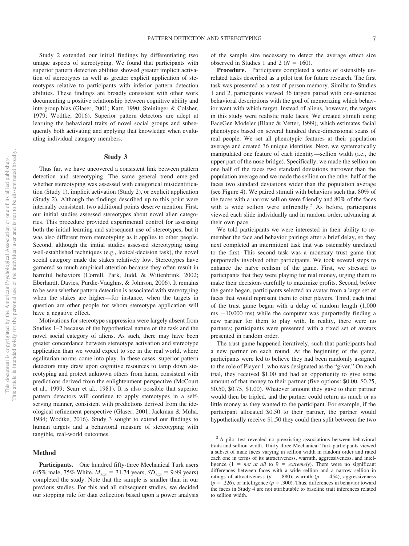Study 2 extended our initial findings by differentiating two unique aspects of stereotyping. We found that participants with superior pattern detection abilities showed greater implicit activation of stereotypes as well as greater explicit application of stereotypes relative to participants with inferior pattern detection abilities. These findings are broadly consistent with other work documenting a positive relationship between cognitive ability and intergroup bias [\(Glaser, 2001;](#page-17-3) Katz, 1990; Steininger & Colsher, 1979; Wodtke, 2016). Superior pattern detectors are adept at learning the behavioral traits of novel social groups and subsequently both activating and applying that knowledge when evaluating individual category members.

#### **Study 3**

Thus far, we have uncovered a consistent link between pattern detection and stereotyping. The same general trend emerged whether stereotyping was assessed with categorical misidentification (Study 1), implicit activation (Study 2), or explicit application (Study 2). Although the findings described up to this point were internally consistent, two additional points deserve mention. First, our initial studies assessed stereotypes about novel alien categories. This procedure provided experimental control for assessing both the initial learning and subsequent use of stereotypes, but it was also different from stereotyping as it applies to other people. Second, although the initial studies assessed stereotyping using well-established techniques (e.g., lexical-decision task), the novel social category made the stakes relatively low. Stereotypes have garnered so much empirical attention because they often result in harmful behaviors (Correll, Park, Judd, & Wittenbrink, 2002; Eberhardt, Davies, Purdie-Vaughns, & Johnson, 2006). It remains to be seen whether pattern detection is associated with stereotyping when the stakes are higher—for instance, when the targets in question are other people for whom stereotype application will have a negative effect.

Motivations for stereotype suppression were largely absent from Studies 1–2 because of the hypothetical nature of the task and the novel social category of aliens. As such, there may have been greater concordance between stereotype activation and stereotype application than we would expect to see in the real world, where egalitarian norms come into play. In these cases, superior pattern detectors may draw upon cognitive resources to tamp down stereotyping and protect unknown others from harm, consistent with predictions derived from the enlightenment perspective (McCourt et al., 1999; Scarr et al., 1981). It is also possible that superior pattern detectors will continue to apply stereotypes in a selfserving manner, consistent with predictions derived from the ideological refinement perspective [\(Glaser, 2001;](#page-17-3) Jackman & Muha, 1984; Wodtke, 2016). Study 3 sought to extend our findings to human targets and a behavioral measure of stereotyping with tangible, real-world outcomes.

#### **Method**

**Participants.** One hundred fifty-three Mechanical Turk users  $(45\% \text{ male}, 75\% \text{ White}, M_{\text{age}} = 31.74 \text{ years}, SD_{\text{age}} = 9.99 \text{ years})$ completed the study. Note that the sample is smaller than in our previous studies. For this and all subsequent studies, we decided our stopping rule for data collection based upon a power analysis of the sample size necessary to detect the average effect size observed in Studies 1 and 2 ( $N = 160$ ).

**Procedure.** Participants completed a series of ostensibly unrelated tasks described as a pilot test for future research. The first task was presented as a test of person memory. Similar to Studies 1 and 2, participants viewed 36 targets paired with one-sentence behavioral descriptions with the goal of memorizing which behavior went with which target. Instead of aliens, however, the targets in this study were realistic male faces. We created stimuli using FaceGen Modeler [\(Blanz & Vetter, 1999\)](#page-16-0), which estimates facial phenotypes based on several hundred three-dimensional scans of real people. We set all phenotypic features at their population average and created 36 unique identities. Next, we systematically manipulated one feature of each identity—sellion width (i.e., the upper part of the nose bridge). Specifically, we made the sellion on one half of the faces two standard deviations narrower than the population average and we made the sellion on the other half of the faces two standard deviations wider than the population average (see Figure 4). We paired stimuli with behaviors such that 80% of the faces with a narrow sellion were friendly and 80% of the faces with a wide sellion were unfriendly.<sup>2</sup> As before, participants viewed each slide individually and in random order, advancing at their own pace.

We told participants we were interested in their ability to remember the face and behavior pairings after a brief delay, so they next completed an intermittent task that was ostensibly unrelated to the first. This second task was a monetary trust game that purportedly involved other participants. We took several steps to enhance the naïve realism of the game. First, we stressed to participants that they were playing for real money, urging them to make their decisions carefully to maximize profits. Second, before the game began, participants selected an avatar from a large set of faces that would represent them to other players. Third, each trial of the trust game began with a delay of random length (1,000  $ms -10,000$  ms) while the computer was purportedly finding a new partner for them to play with. In reality, there were no partners; participants were presented with a fixed set of avatars presented in random order.

The trust game happened iteratively, such that participants had a new partner on each round. At the beginning of the game, participants were led to believe they had been randomly assigned to the role of Player 1, who was designated as the "giver." On each trial, they received \$1.00 and had an opportunity to give some amount of that money to their partner (five options: \$0.00, \$0.25, \$0.50, \$0.75, \$1.00). Whatever amount they gave to their partner would then be tripled, and the partner could return as much or as little money as they wanted to the participant. For example, if the participant allocated \$0.50 to their partner, the partner would hypothetically receive \$1.50 they could then split between the two

<sup>&</sup>lt;sup>2</sup> A pilot test revealed no preexisting associations between behavioral traits and sellion width. Thirty-three Mechanical Turk participants viewed a subset of male faces varying in sellion width in random order and rated each one in terms of its attractiveness, warmth, aggressiveness, and intelligence  $(1 = not at all to 9 = extremely)$ . There were no significant differences between faces with a wide sellion and a narrow sellion in ratings of attractiveness ( $p = .880$ ), warmth ( $p = .454$ ), aggressiveness  $(p = .226)$ , or intelligence  $(p = .300)$ . Thus, differences in behavior toward the faces in Study 4 are not attributable to baseline trait inferences related to sellion width.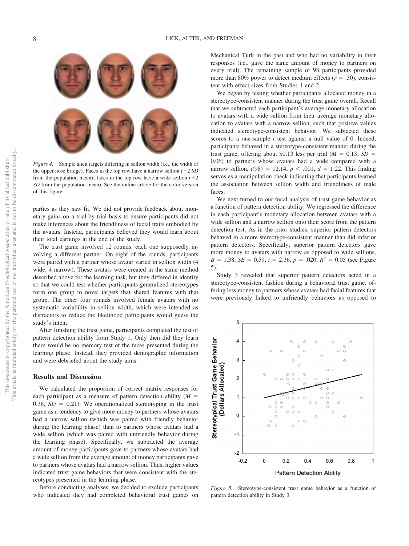

*Figure 4.* Sample alien targets differing in sellion width (i.e., the width of the upper nose bridge). Faces in the top row have a narrow sellion  $(-2 SD)$ from the population mean); faces in the top row have a wide sellion  $(+2)$ *SD* from the population mean). See the online article for the color version of this figure.

parties as they saw fit. We did not provide feedback about monetary gains on a trial-by-trial basis to ensure participants did not make inferences about the friendliness of facial traits embodied by the avatars. Instead, participants believed they would learn about their total earnings at the end of the study.

The trust game involved 12 rounds, each one supposedly involving a different partner. On eight of the rounds, participants were paired with a partner whose avatar varied in sellion width (4 wide, 4 narrow). These avatars were created in the same method described above for the learning task, but they differed in identity so that we could test whether participants generalized stereotypes form one group to novel targets that shared features with that group. The other four rounds involved female avatars with no systematic variability in sellion width, which were intended as distractors to reduce the likelihood participants would guess the study's intent.

After finishing the trust game, participants completed the test of pattern detection ability from Study 1. Only then did they learn there would be no memory test of the faces presented during the learning phase. Instead, they provided demographic information and were debriefed about the study aims.

#### **Results and Discussion**

We calculated the proportion of correct matrix responses for each participant as a measure of pattern detection ability  $(M =$  $0.38$ ,  $SD = 0.21$ ). We operationalized stereotyping in the trust game as a tendency to give more money to partners whose avatars had a narrow sellion (which was paired with friendly behavior during the learning phase) than to partners whose avatars had a wide sellion (which was paired with unfriendly behavior during the learning phase). Specifically, we subtracted the average amount of money participants gave to partners whose avatars had a wide sellion from the average amount of money participants gave to partners whose avatars had a narrow sellion. Thus, higher values indicated trust game behaviors that were consistent with the stereotypes presented in the learning phase.

Before conducting analyses, we decided to exclude participants who indicated they had completed behavioral trust games on Mechanical Turk in the past and who had no variability in their responses (i.e., gave the same amount of money to partners on every trial). The remaining sample of 98 participants provided more than 80% power to detect medium effects  $(r = .30)$ , consistent with effect sizes from Studies 1 and 2.

We began by testing whether participants allocated money in a stereotype-consistent manner during the trust game overall. Recall that we subtracted each participant's average monetary allocation to avatars with a wide sellion from their average monetary allocation to avatars with a narrow sellion, such that positive values indicated stereotype-consistent behavior. We subjected these scores to a one-sample *t* test against a null value of 0. Indeed, participants behaved in a stereotype-consistent manner during the trust game, offering about \$0.13 less per trial  $(M = 0.13, SD =$ 0.06) to partners whose avatars had a wide compared with a narrow sellion,  $t(98) = 12.14$ ,  $p < .001$ ,  $d = 1.22$ . This finding serves as a manipulation check indicating that participants learned the association between sellion width and friendliness of male faces.

We next turned to our focal analysis of trust game behavior as a function of pattern detection ability. We regressed the difference in each participant's monetary allocation between avatars with a wide sellion and a narrow sellion onto their score from the pattern detection test. As in the prior studies, superior pattern detectors behaved in a more stereotype-consistent manner than did inferior pattern detectors. Specifically, superior pattern detectors gave more money to avatars with narrow as opposed to wide sellions,  $B = 1.38$ ,  $SE = 0.59$ ,  $t = 2.36$ ,  $p = .020$ ,  $R^2 = 0.05$  (see Figure 5).

Study 3 revealed that superior pattern detectors acted in a stereotype-consistent fashion during a behavioral trust game, offering less money to partners whose avatars had facial features that were previously linked to unfriendly behaviors as opposed to



*Figure 5.* Stereotype-consistent trust game behavior as a function of pattern detection ability in Study 3.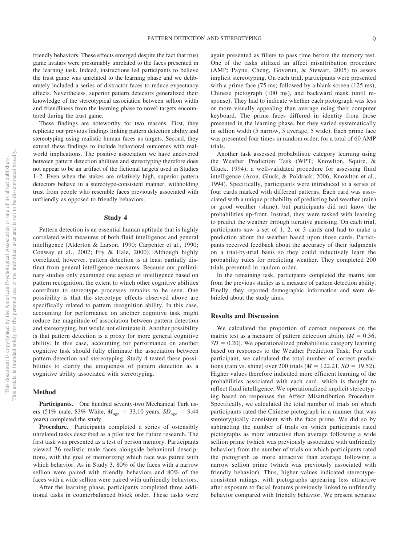friendly behaviors. These effects emerged despite the fact that trust game avatars were presumably unrelated to the faces presented in the learning task. Indeed, instructions led participants to believe the trust game was unrelated to the learning phase and we deliberately included a series of distractor faces to reduce expectancy effects. Nevertheless, superior pattern detectors generalized their knowledge of the stereotypical association between sellion width and friendliness from the learning phase to novel targets encountered during the trust game.

These findings are noteworthy for two reasons. First, they replicate our previous findings linking pattern detection ability and stereotyping using realistic human faces as targets. Second, they extend these findings to include behavioral outcomes with realworld implications. The positive association we have uncovered between pattern detection abilities and stereotyping therefore does not appear to be an artifact of the fictional targets used in Studies 1–2. Even when the stakes are relatively high, superior pattern detectors behave in a stereotype-consistent manner, withholding trust from people who resemble faces previously associated with unfriendly as opposed to friendly behaviors.

#### **Study 4**

Pattern detection is an essential human aptitude that is highly correlated with measures of both fluid intelligence and general intelligence (Alderton & Larson, 1990; Carpenter et al., 1990; Conway et al., 2002; Fry & Hale, 2000). Although highly correlated, however, pattern detection is at least partially distinct from general intelligence measures. Because our preliminary studies only examined one aspect of intelligence based on pattern recognition, the extent to which other cognitive abilities contribute to stereotype processes remains to be seen. One possibility is that the stereotype effects observed above are specifically related to pattern recognition ability. In this case, accounting for performance on another cognitive task might reduce the magnitude of association between pattern detection and stereotyping, but would not eliminate it. Another possibility is that pattern detection is a proxy for more general cognitive ability. In this case, accounting for performance on another cognitive task should fully eliminate the association between pattern detection and stereotyping. Study 4 tested these possibilities to clarify the uniqueness of pattern detection as a cognitive ability associated with stereotyping.

#### **Method**

**Participants.** One hundred seventy-two Mechanical Turk users (51% male, 83% White,  $M_{\text{age}} = 33.10 \text{ years}$ ,  $SD_{\text{age}} = 9.44$ years) completed the study.

**Procedure.** Participants completed a series of ostensibly unrelated tasks described as a pilot test for future research. The first task was presented as a test of person memory. Participants viewed 36 realistic male faces alongside behavioral descriptions, with the goal of memorizing which face was paired with which behavior. As in Study 3, 80% of the faces with a narrow sellion were paired with friendly behaviors and 80% of the faces with a wide sellion were paired with unfriendly behaviors.

After the learning phase, participants completed three additional tasks in counterbalanced block order. These tasks were again presented as fillers to pass time before the memory test. One of the tasks utilized an affect misattribution procedure (AMP; Payne, Cheng, Govorun, & Stewart, 2005) to assess implicit stereotyping. On each trial, participants were presented with a prime face (75 ms) followed by a blank screen (125 ms), Chinese pictograph (100 ms), and backward mask (until response). They had to indicate whether each pictograph was less or more visually appealing than average using their computer keyboard. The prime faces differed in identity from those presented in the learning phase, but they varied systematically in sellion width (5 narrow, 5 average, 5 wide). Each prime face was presented four times in random order, for a total of 60 AMP trials.

Another task assessed probabilistic category learning using the Weather Prediction Task (WPT; Knowlton, Squire, & Gluck, 1994), a well-validated procedure for assessing fluid intelligence (Aron, Gluck, & Poldrack, 2006; Knowlton et al., 1994). Specifically, participants were introduced to a series of four cards marked with different patterns. Each card was associated with a unique probability of predicting bad weather (rain) or good weather (shine), but participants did not know the probabilities up-front. Instead, they were tasked with learning to predict the weather through iterative guessing. On each trial, participants saw a set of 1, 2, or 3 cards and had to make a prediction about the weather based upon those cards. Participants received feedback about the accuracy of their judgments on a trial-by-trial basis so they could inductively learn the probability rules for predicting weather. They completed 200 trials presented in random order.

In the remaining task, participants completed the matrix test from the previous studies as a measure of pattern detection ability. Finally, they reported demographic information and were debriefed about the study aims.

#### **Results and Discussion**

We calculated the proportion of correct responses on the matrix test as a measure of pattern detection ability  $(M = 0.36,$  $SD = 0.20$ ). We operationalized probabilistic category learning based on responses to the Weather Prediction Task. For each participant, we calculated the total number of correct predictions (rain vs. shine) over 200 trials  $(M = 122.21, SD = 19.52)$ . Higher values therefore indicated more efficient learning of the probabilities associated with each card, which is thought to reflect fluid intelligence. We operationalized implicit stereotyping based on responses the Affect Misattribution Procedure. Specifically, we calculated the total number of trials on which participants rated the Chinese pictograph in a manner that was stereotypically consistent with the face prime. We did so by subtracting the number of trials on which participants rated pictographs as more attractive than average following a wide sellion prime (which was previously associated with unfriendly behavior) from the number of trials on which participants rated the pictograph as more attractive than average following a narrow sellion prime (which was previously associated with friendly behavior). Thus, higher values indicated stereotypeconsistent ratings, with pictographs appearing less attractive after exposure to facial features previously linked to unfriendly behavior compared with friendly behavior. We present separate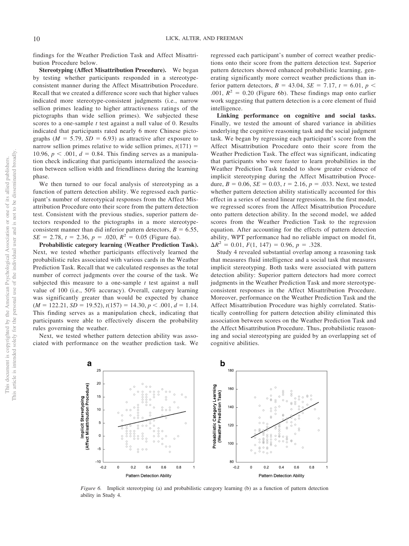findings for the Weather Prediction Task and Affect Misattribution Procedure below.

**Stereotyping (Affect Misattribution Procedure).** We began by testing whether participants responded in a stereotypeconsistent manner during the Affect Misattribution Procedure. Recall that we created a difference score such that higher values indicated more stereotype-consistent judgments (i.e., narrow sellion primes leading to higher attractiveness ratings of the pictographs than wide sellion primes). We subjected these scores to a one-sample *t* test against a null value of 0. Results indicated that participants rated nearly 6 more Chinese pictographs ( $M = 5.79$ ,  $SD = 6.93$ ) as attractive after exposure to narrow sellion primes relative to wide sellion primes,  $t(171)$  = 10.96,  $p < .001$ ,  $d = 0.84$ . This finding serves as a manipulation check indicating that participants internalized the association between sellion width and friendliness during the learning phase.

We then turned to our focal analysis of stereotyping as a function of pattern detection ability. We regressed each participant's number of stereotypical responses from the Affect Misattribution Procedure onto their score from the pattern detection test. Consistent with the previous studies, superior pattern detectors responded to the pictographs in a more stereotypeconsistent manner than did inferior pattern detectors,  $B = 6.55$ ,  $SE = 2.78$ ,  $t = 2.36$ ,  $p = .020$ ,  $R^2 = 0.05$  [\(Figure 6a\)](#page-10-0).

**Probabilistic category learning (Weather Prediction Task).** Next, we tested whether participants effectively learned the probabilistic rules associated with various cards in the Weather Prediction Task. Recall that we calculated responses as the total number of correct judgments over the course of the task. We subjected this measure to a one-sample *t* test against a null value of 100 (i.e., 50% accuracy). Overall, category learning was significantly greater than would be expected by chance  $(M = 122.21, SD = 19.52), t(157) = 14.30, p < .001, d = 1.14.$ This finding serves as a manipulation check, indicating that participants were able to effectively discern the probability rules governing the weather.

Next, we tested whether pattern detection ability was associated with performance on the weather prediction task. We

regressed each participant's number of correct weather predictions onto their score from the pattern detection test. Superior pattern detectors showed enhanced probabilistic learning, generating significantly more correct weather predictions than inferior pattern detectors,  $B = 43.04$ ,  $SE = 7.17$ ,  $t = 6.01$ ,  $p <$ .001,  $\mathbb{R}^2 = 0.20$  [\(Figure 6b\)](#page-10-0). These findings map onto earlier work suggesting that pattern detection is a core element of fluid intelligence.

**Linking performance on cognitive and social tasks.** Finally, we tested the amount of shared variance in abilities underlying the cognitive reasoning task and the social judgment task. We began by regressing each participant's score from the Affect Misattribution Procedure onto their score from the Weather Prediction Task. The effect was significant, indicating that participants who were faster to learn probabilities in the Weather Prediction Task tended to show greater evidence of implicit stereotyping during the Affect Misattribution Procedure,  $B = 0.06$ ,  $SE = 0.03$ ,  $t = 2.16$ ,  $p = .033$ . Next, we tested whether pattern detection ability statistically accounted for this effect in a series of nested linear regressions. In the first model, we regressed scores from the Affect Misattribution Procedure onto pattern detection ability. In the second model, we added scores from the Weather Prediction Task to the regression equation. After accounting for the effects of pattern detection ability, WPT performance had no reliable impact on model fit,  $\Delta R^2 = 0.01, F(1, 147) = 0.96, p = .328.$ 

Study 4 revealed substantial overlap among a reasoning task that measures fluid intelligence and a social task that measures implicit stereotyping. Both tasks were associated with pattern detection ability: Superior pattern detectors had more correct judgments in the Weather Prediction Task and more stereotypeconsistent responses in the Affect Misattribution Procedure. Moreover, performance on the Weather Prediction Task and the Affect Misattribution Procedure was highly correlated. Statistically controlling for pattern detection ability eliminated this association between scores on the Weather Prediction Task and the Affect Misattribution Procedure. Thus, probabilistic reasoning and social stereotyping are guided by an overlapping set of cognitive abilities.



<span id="page-10-0"></span>*Figure 6.* Implicit stereotyping (a) and probabilistic category learning (b) as a function of pattern detection ability in Study 4.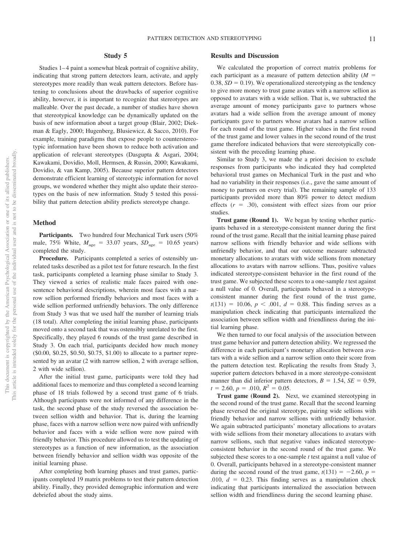#### **Study 5**

Studies 1–4 paint a somewhat bleak portrait of cognitive ability, indicating that strong pattern detectors learn, activate, and apply stereotypes more readily than weak pattern detectors. Before hastening to conclusions about the drawbacks of superior cognitive ability, however, it is important to recognize that stereotypes are malleable. Over the past decade, a number of studies have shown that stereotypical knowledge can be dynamically updated on the basis of new information about a target group [\(Blair, 2002;](#page-16-1) Diekman & Eagly, 2000; Hugenberg, Blusiewicz, & Sacco, 2010). For example, training paradigms that expose people to counterstereotypic information have been shown to reduce both activation and application of relevant stereotypes (Dasgupta & Asgari, 2004; Kawakami, Dovidio, Moll, Hermsen, & Russin, 2000; Kawakami, Dovidio, & van Kamp, 2005). Because superior pattern detectors demonstrate efficient learning of stereotypic information for novel groups, we wondered whether they might also update their stereotypes on the basis of new information. Study 5 tested this possibility that pattern detection ability predicts stereotype change.

#### **Method**

Participants. Two hundred four Mechanical Turk users (50%) male,  $75\%$  White,  $M_{\text{age}} = 33.07$  years,  $SD_{\text{age}} = 10.65$  years) completed the study.

**Procedure.** Participants completed a series of ostensibly unrelated tasks described as a pilot test for future research. In the first task, participants completed a learning phase similar to Study 3. They viewed a series of realistic male faces paired with onesentence behavioral descriptions, wherein most faces with a narrow sellion performed friendly behaviors and most faces with a wide sellion performed unfriendly behaviors. The only difference from Study 3 was that we used half the number of learning trials (18 total). After completing the initial learning phase, participants moved onto a second task that was ostensibly unrelated to the first. Specifically, they played 6 rounds of the trust game described in Study 3. On each trial, participants decided how much money (\$0.00, \$0.25, \$0.50, \$0.75, \$1.00) to allocate to a partner represented by an avatar (2 with narrow sellion, 2 with average sellion, 2 with wide sellion).

After the initial trust game, participants were told they had additional faces to memorize and thus completed a second learning phase of 18 trials followed by a second trust game of 6 trials. Although participants were not informed of any difference in the task, the second phase of the study reversed the association between sellion width and behavior. That is, during the learning phase, faces with a narrow sellion were now paired with unfriendly behavior and faces with a wide sellion were now paired with friendly behavior. This procedure allowed us to test the updating of stereotypes as a function of new information, as the association between friendly behavior and sellion width was opposite of the initial learning phase.

After completing both learning phases and trust games, participants completed 19 matrix problems to test their pattern detection ability. Finally, they provided demographic information and were debriefed about the study aims.

#### **Results and Discussion**

We calculated the proportion of correct matrix problems for each participant as a measure of pattern detection ability  $(M =$ 0.38,  $SD = 0.19$ ). We operationalized stereotyping as the tendency to give more money to trust game avatars with a narrow sellion as opposed to avatars with a wide sellion. That is, we subtracted the average amount of money participants gave to partners whose avatars had a wide sellion from the average amount of money participants gave to partners whose avatars had a narrow sellion for each round of the trust game. Higher values in the first round of the trust game and lower values in the second round of the trust game therefore indicated behaviors that were stereotypically consistent with the preceding learning phase.

Similar to Study 3, we made the a priori decision to exclude responses from participants who indicated they had completed behavioral trust games on Mechanical Turk in the past and who had no variability in their responses (i.e., gave the same amount of money to partners on every trial). The remaining sample of 133 participants provided more than 80% power to detect medium effects  $(r = .30)$ , consistent with effect sizes from our prior studies.

**Trust game (Round 1).** We began by testing whether participants behaved in a stereotype-consistent manner during the first round of the trust game. Recall that the initial learning phase paired narrow sellions with friendly behavior and wide sellions with unfriendly behavior, and that our outcome measure subtracted monetary allocations to avatars with wide sellions from monetary allocations to avatars with narrow sellions. Thus, positive values indicated stereotype-consistent behavior in the first round of the trust game. We subjected these scores to a one-sample *t* test against a null value of 0. Overall, participants behaved in a stereotypeconsistent manner during the first round of the trust game,  $t(131) = 10.06, p < .001, d = 0.88$ . This finding serves as a manipulation check indicating that participants internalized the association between sellion width and friendliness during the initial learning phase.

We then turned to our focal analysis of the association between trust game behavior and pattern detection ability. We regressed the difference in each participant's monetary allocation between avatars with a wide sellion and a narrow sellion onto their score from the pattern detection test. Replicating the results from Study 3, superior pattern detectors behaved in a more stereotype-consistent manner than did inferior pattern detectors,  $B = 1.54$ ,  $SE = 0.59$ ,  $t = 2.60, p = .010, R^2 = 0.05.$ 

**Trust game (Round 2).** Next, we examined stereotyping in the second round of the trust game. Recall that the second learning phase reversed the original stereotype, pairing wide sellions with friendly behavior and narrow sellions with unfriendly behavior. We again subtracted participants' monetary allocations to avatars with wide sellions from their monetary allocations to avatars with narrow sellions, such that negative values indicated stereotypeconsistent behavior in the second round of the trust game. We subjected these scores to a one-sample *t* test against a null value of 0. Overall, participants behaved in a stereotype-consistent manner during the second round of the trust game,  $t(131) = -2.60$ ,  $p =$ .010,  $d = 0.23$ . This finding serves as a manipulation check indicating that participants internalized the association between sellion width and friendliness during the second learning phase.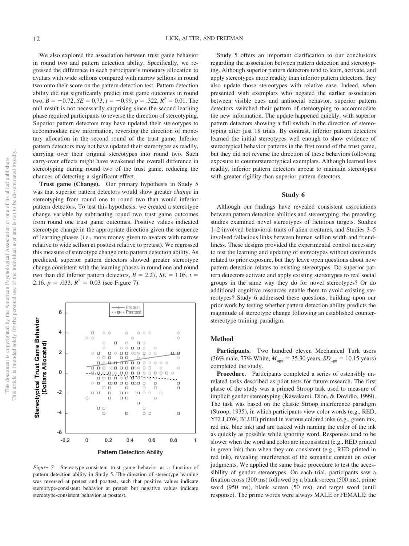We also explored the association between trust game behavior in round two and pattern detection ability. Specifically, we regressed the difference in each participant's monetary allocation to avatars with wide sellions compared with narrow sellions in round two onto their score on the pattern detection test. Pattern detection ability did not significantly predict trust game outcomes in round  $two, B = -0.72, SE = 0.73, t = -0.99, p = .322, R<sup>2</sup> = 0.01$ . The null result is not necessarily surprising since the second learning phase required participants to reverse the direction of stereotyping. Superior pattern detectors may have updated their stereotypes to accommodate new information, reversing the direction of monetary allocation in the second round of the trust game. Inferior pattern detectors may not have updated their stereotypes as readily, carrying over their original stereotypes into round two. Such carry-over effects might have weakened the overall difference in stereotyping during round two of the trust game, reducing the chances of detecting a significant effect.

**Trust game (Change).** Our primary hypothesis in Study 5 was that superior pattern detectors would show greater *change* in stereotyping from round one to round two than would inferior pattern detectors. To test this hypothesis, we created a stereotype change variable by subtracting round two trust game outcomes from round one trust game outcomes. Positive values indicated stereotype change in the appropriate direction given the sequence of learning phases (i.e., more money given to avatars with narrow relative to wide sellion at posttest relative to pretest). We regressed this measure of stereotype change onto pattern detection ability. As predicted, superior pattern detectors showed greater stereotype change consistent with the learning phases in round one and round two than did inferior pattern detectors,  $B = 2.27$ ,  $SE = 1.05$ ,  $t =$ 2.16,  $p = .033$ ,  $R^2 = 0.03$  (see [Figure 7\)](#page-12-0).



<span id="page-12-0"></span>*Figure 7.* Stereotype-consistent trust game behavior as a function of pattern detection ability in Study 5. The direction of stereotype learning was reversed at pretest and posttest, such that positive values indicate stereotype-consistent behavior at pretest but negative values indicate stereotype-consistent behavior at posttest.

Study 5 offers an important clarification to our conclusions regarding the association between pattern detection and stereotyping. Although superior pattern detectors tend to learn, activate, and apply stereotypes more readily than inferior pattern detectors, they also update those stereotypes with relative ease. Indeed, when presented with exemplars who negated the earlier association between visible cues and antisocial behavior, superior pattern detectors switched their pattern of stereotyping to accommodate the new information. The update happened quickly, with superior pattern detectors showing a full switch in the direction of stereotyping after just 18 trials. By contrast, inferior pattern detectors learned the initial stereotypes well enough to show evidence of stereotypical behavior patterns in the first round of the trust game, but they did not reverse the direction of these behaviors following exposure to counterstereotypical exemplars. Although learned less readily, inferior pattern detectors appear to maintain stereotypes with greater rigidity than superior pattern detectors.

#### **Study 6**

Although our findings have revealed consistent associations between pattern detection abilities and stereotyping, the preceding studies examined novel stereotypes of fictitious targets. Studies 1–2 involved behavioral traits of alien creatures, and Studies 3–5 involved fallacious links between human sellion width and friendliness. These designs provided the experimental control necessary to test the learning and updating of stereotypes without confounds related to prior exposure, but they leave open questions about how pattern detection relates to existing stereotypes. Do superior pattern detectors activate and apply existing stereotypes to real social groups in the same way they do for novel stereotypes? Or do additional cognitive resources enable them to avoid existing stereotypes? Study 6 addressed these questions, building upon our prior work by testing whether pattern detection ability predicts the magnitude of stereotype change following an established counterstereotype training paradigm.

#### **Method**

**Participants.** Two hundred eleven Mechanical Turk users  $(36\% \text{ male}, 77\% \text{ White}, M_{\text{age}} = 35.30 \text{ years}, SD_{\text{age}} = 10.15 \text{ years})$ completed the study.

**Procedure.** Participants completed a series of ostensibly unrelated tasks described as pilot tests for future research. The first phase of the study was a primed Stroop task used to measure of implicit gender stereotyping (Kawakami, Dion, & Dovidio, 1999). The task was based on the classic Stroop interference paradigm (Stroop, 1935), in which participants view color words (e.g., RED, YELLOW, BLUE) printed in various colored inks (e.g., green ink, red ink, blue ink) and are tasked with naming the color of the ink as quickly as possible while ignoring word. Responses tend to be slower when the word and color are inconsistent (e.g., RED printed in green ink) than when they are consistent (e.g., RED printed in red ink), revealing interference of the semantic content on color judgments. We applied the same basic procedure to test the accessibility of gender stereotypes. On each trial, participants saw a fixation cross (300 ms) followed by a blank screen (500 ms), prime word (950 ms), blank screen (50 ms), and target word (until response). The prime words were always MALE or FEMALE; the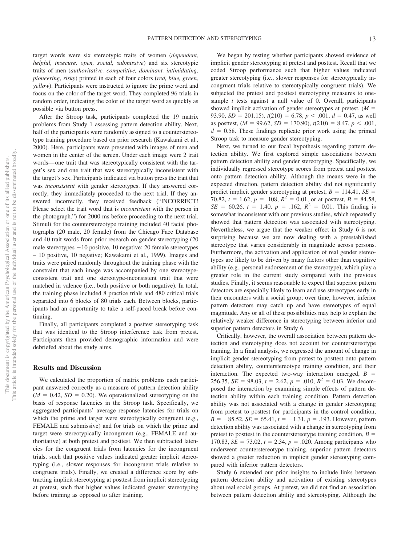target words were six stereotypic traits of women (*dependent, helpful, insecure, open, social, submissive*) and six stereotypic traits of men (*authoritative, competitive, dominant, intimidating, pioneering, risky*) printed in each of four colors (*red, blue, green, yellow*). Participants were instructed to ignore the prime word and focus on the color of the target word. They completed 96 trials in random order, indicating the color of the target word as quickly as possible via button press.

After the Stroop task, participants completed the 19 matrix problems from Study 1 assessing pattern detection ability. Next, half of the participants were randomly assigned to a counterstereotype training procedure based on prior research (Kawakami et al., 2000). Here, participants were presented with images of men and women in the center of the screen. Under each image were 2 trait words— one trait that was stereotypically consistent with the target's sex and one trait that was stereotypically inconsistent with the target's sex. Participants indicated via button press the trait that was *inconsistent* with gender stereotypes. If they answered correctly, they immediately proceeded to the next trial. If they answered incorrectly, they received feedback ("INCORRECT! Please select the trait word that is *inconsistent* with the person in the photograph.") for 2000 ms before proceeding to the next trial. Stimuli for the counterstereotype training included 40 facial photographs (20 male, 20 female) from the Chicago Face Database and 40 trait words from prior research on gender stereotyping (20 male stereotypes  $-10$  positive, 10 negative; 20 female stereotypes – 10 positive, 10 negative; Kawakami et al., 1999). Images and traits were paired randomly throughout the training phase with the constraint that each image was accompanied by one stereotypeconsistent trait and one stereotype-inconsistent trait that were matched in valence (i.e., both positive or both negative). In total, the training phase included 8 practice trials and 480 critical trials separated into 6 blocks of 80 trials each. Between blocks, participants had an opportunity to take a self-paced break before continuing.

Finally, all participants completed a posttest stereotyping task that was identical to the Stroop interference task from pretest. Participants then provided demographic information and were debriefed about the study aims.

#### **Results and Discussion**

We calculated the proportion of matrix problems each participant answered correctly as a measure of pattern detection ability  $(M = 0.42, SD = 0.20)$ . We operationalized stereotyping on the basis of response latencies in the Stroop task. Specifically, we aggregated participants' average response latencies for trials on which the prime and target were stereotypically congruent (e.g., FEMALE and submissive) and for trials on which the prime and target were stereotypically incongruent (e.g., FEMALE and authoritative) at both pretest and posttest. We then subtracted latencies for the congruent trials from latencies for the incongruent trials, such that positive values indicated greater implicit stereotyping (i.e., slower responses for incongruent trials relative to congruent trials). Finally, we created a difference score by subtracting implicit stereotyping at posttest from implicit stereotyping at pretest, such that higher values indicated greater stereotyping before training as opposed to after training.

We began by testing whether participants showed evidence of implicit gender stereotyping at pretest and posttest. Recall that we coded Stroop performance such that higher values indicated greater stereotyping (i.e., slower responses for stereotypically incongruent trials relative to stereotypically congruent trials). We subjected the pretest and posttest stereotyping measures to onesample *t* tests against a null value of 0. Overall, participants showed implicit activation of gender stereotypes at pretest,  $(M =$ 93.90,  $SD = 201.15$ ,  $t(210) = 6.78$ ,  $p < .001$ ,  $d = 0.47$ , as well as posttest,  $(M = 99.62, SD = 170.90)$ ,  $t(210) = 8.47, p < .001$ ,  $d = 0.58$ . These findings replicate prior work using the primed Stroop task to measure gender stereotyping.

Next, we turned to our focal hypothesis regarding pattern detection ability. We first explored simple associations between pattern detection ability and gender stereotyping. Specifically, we individually regressed stereotype scores from pretest and posttest onto pattern detection ability. Although the means were in the expected direction, pattern detection ability did not significantly predict implicit gender stereotyping at pretest,  $B = 114.41$ ,  $SE =$ 70.82,  $t = 1.62$ ,  $p = .108$ ,  $R^2 = 0.01$ , or at posttest,  $B = 84.58$ ,  $SE = 60.26$ ,  $t = 1.40$ ,  $p = .162$ ,  $R^2 = 0.01$ . This finding is somewhat inconsistent with our previous studies, which repeatedly showed that pattern detection was associated with stereotyping. Nevertheless, we argue that the weaker effect in Study 6 is not surprising because we are now dealing with a preestablished stereotype that varies considerably in magnitude across persons. Furthermore, the activation and application of real gender stereotypes are likely to be driven by many factors other than cognitive ability (e.g., personal endorsement of the stereotype), which play a greater role in the current study compared with the previous studies. Finally, it seems reasonable to expect that superior pattern detectors are especially likely to learn and use stereotypes early in their encounters with a social group; over time, however, inferior pattern detectors may catch up and have stereotypes of equal magnitude. Any or all of these possibilities may help to explain the relatively weaker difference in stereotyping between inferior and superior pattern detectors in Study 6.

Critically, however, the overall association between pattern detection and stereotyping does not account for counterstereotype training. In a final analysis, we regressed the amount of change in implicit gender stereotyping from pretest to posttest onto pattern detection ability, counterstereotype training condition, and their interaction. The expected two-way interaction emerged,  $B =$ 256.35, *SE* = 98.03,  $t = 2.62$ ,  $p = .010$ ,  $R^2 = 0.03$ . We decomposed the interaction by examining simple effects of pattern detection ability within each training condition. Pattern detection ability was not associated with a change in gender stereotyping from pretest to posttest for participants in the control condition,  $B = -85.52$ ,  $SE = 65.41$ ,  $t = -1.31$ ,  $p = .193$ . However, pattern detection ability was associated with a change in stereotyping from pretest to posttest in the counterstereotype training condition,  $B =$ 170.83,  $SE = 73.02$ ,  $t = 2.34$ ,  $p = .020$ . Among participants who underwent counterstereotype training, superior pattern detectors showed a greater reduction in implicit gender stereotyping compared with inferior pattern detectors.

Study 6 extended our prior insights to include links between pattern detection ability and activation of existing stereotypes about real social groups. At pretest, we did not find an association between pattern detection ability and stereotyping. Although the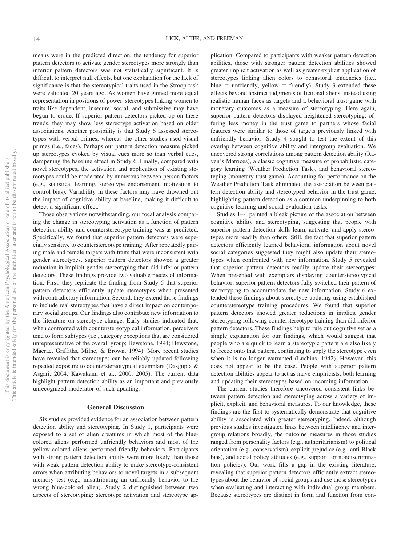means were in the predicted direction, the tendency for superior pattern detectors to activate gender stereotypes more strongly than inferior pattern detectors was not statistically significant. It is difficult to interpret null effects, but one explanation for the lack of significance is that the stereotypical traits used in the Stroop task were validated 20 years ago. As women have gained more equal representation in positions of power, stereotypes linking women to traits like dependent, insecure, social, and submissive may have begun to erode. If superior pattern detectors picked up on these trends, they may show less stereotype activation based on older associations. Another possibility is that Study 6 assessed stereotypes with verbal primes, whereas the other studies used visual primes (i.e., faces). Perhaps our pattern detection measure picked up stereotypes evoked by visual cues more so than verbal cues, dampening the baseline effect in Study 6. Finally, compared with novel stereotypes, the activation and application of existing stereotypes could be moderated by numerous between-person factors (e.g., statistical learning, stereotype endorsement, motivation to control bias). Variability in these factors may have drowned out the impact of cognitive ability at baseline, making it difficult to detect a significant effect.

Those observations notwithstanding, our focal analysis comparing the change in stereotyping activation as a function of pattern detection ability and counterstereotype training was as predicted. Specifically, we found that superior pattern detectors were especially sensitive to counterstereotype training. After repeatedly pairing male and female targets with traits that were inconsistent with gender stereotypes, superior pattern detectors showed a greater reduction in implicit gender stereotyping than did inferior pattern detectors. These findings provide two valuable pieces of information. First, they replicate the finding from Study 5 that superior pattern detectors efficiently update stereotypes when presented with contradictory information. Second, they extend those findings to include real stereotypes that have a direct impact on contemporary social groups. Our findings also contribute new information to the literature on stereotype change. Early studies indicated that, when confronted with counterstereotypical information, perceivers tend to form subtypes (i.e., category exceptions that are considered unrepresentative of the overall group; Hewstone, 1994; Hewstone, Macrae, Griffiths, Milne, & Brown, 1994). More recent studies have revealed that stereotypes can be reliably updated following repeated exposure to counterstereotypical exemplars (Dasgupta & Asgari, 2004; Kawakami et al., 2000, 2005). The current data highlight pattern detection ability as an important and previously unrecognized moderator of such updating.

#### **General Discussion**

Six studies provided evidence for an association between pattern detection ability and stereotyping. In Study 1, participants were exposed to a set of alien creatures in which most of the bluecolored aliens performed unfriendly behaviors and most of the yellow-colored aliens performed friendly behaviors. Participants with strong pattern detection ability were more likely than those with weak pattern detection ability to make stereotype-consistent errors when attributing behaviors to novel targets in a subsequent memory test (e.g., misattributing an unfriendly behavior to the wrong blue-colored alien). Study 2 distinguished between two aspects of stereotyping: stereotype activation and stereotype ap-

plication. Compared to participants with weaker pattern detection abilities, those with stronger pattern detection abilities showed greater implicit activation as well as greater explicit application of stereotypes linking alien colors to behavioral tendencies (i.e.,  $blue =$  unfriendly, yellow  $=$  friendly). Study 3 extended these effects beyond abstract judgments of fictional aliens, instead using realistic human faces as targets and a behavioral trust game with monetary outcomes as a measure of stereotyping. Here again, superior pattern detectors displayed heightened stereotyping, offering less money in the trust game to partners whose facial features were similar to those of targets previously linked with unfriendly behavior. Study 4 sought to test the extent of this overlap between cognitive ability and intergroup evaluation. We uncovered strong correlations among pattern detection ability (Raven's Matrices), a classic cognitive measure of probabilistic category learning (Weather Prediction Task), and behavioral stereotyping (monetary trust game). Accounting for performance on the Weather Prediction Task eliminated the association between pattern detection ability and stereotyped behavior in the trust game, highlighting pattern detection as a common underpinning to both cognitive learning and social evaluation tasks.

Studies 1–4 painted a bleak picture of the association between cognitive ability and stereotyping, suggesting that people with superior pattern detection skills learn, activate, and apply stereotypes more readily than others. Still, the fact that superior pattern detectors efficiently learned behavioral information about novel social categories suggested they might also update their stereotypes when confronted with new information. Study 5 revealed that superior pattern detectors readily update their stereotypes: When presented with exemplars displaying counterstereotypical behavior, superior pattern detectors fully switched their pattern of stereotyping to accommodate the new information. Study 6 extended these findings about stereotype updating using established counterstereotype training procedures. We found that superior pattern detectors showed greater reductions in implicit gender stereotyping following counterstereotype training than did inferior pattern detectors. These findings help to rule out cognitive set as a simple explanation for our findings, which would suggest that people who are quick to learn a stereotypic pattern are also likely to freeze onto that pattern, continuing to apply the stereotype even when it is no longer warranted (Luchins, 1942). However, this does not appear to be the case. People with superior pattern detection abilities appear to act as naïve empiricists, both learning and updating their stereotypes based on incoming information.

The current studies therefore uncovered consistent links between pattern detection and stereotyping across a variety of implicit, explicit, and behavioral measures. To our knowledge, these findings are the first to systematically demonstrate that cognitive ability is associated with greater stereotyping. Indeed, although previous studies investigated links between intelligence and intergroup relations broadly, the outcome measures in those studies ranged from personality factors (e.g., authoritarianism) to political orientation (e.g., conservatism), explicit prejudice (e.g., anti-Black bias), and social policy attitudes (e.g., support for nondiscrimination policies). Our work fills a gap in the existing literature, revealing that superior pattern detectors efficiently extract stereotypes about the behavior of social groups and use those stereotypes when evaluating and interacting with individual group members. Because stereotypes are distinct in form and function from con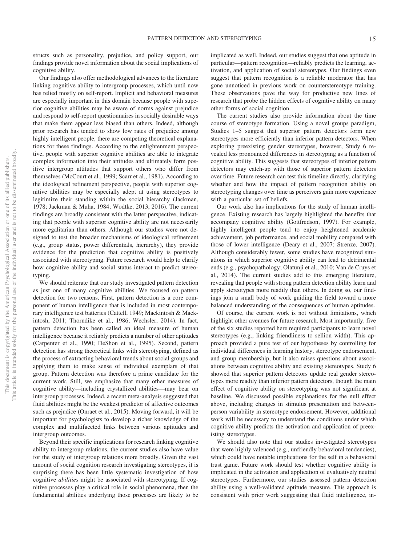structs such as personality, prejudice, and policy support, our findings provide novel information about the social implications of cognitive ability.

Our findings also offer methodological advances to the literature linking cognitive ability to intergroup processes, which until now has relied mostly on self-report. Implicit and behavioral measures are especially important in this domain because people with superior cognitive abilities may be aware of norms against prejudice and respond to self-report questionnaires in socially desirable ways that make them appear less biased than others. Indeed, although prior research has tended to show low rates of prejudice among highly intelligent people, there are competing theoretical explanations for these findings. According to the enlightenment perspective, people with superior cognitive abilities are able to integrate complex information into their attitudes and ultimately form positive intergroup attitudes that support others who differ from themselves (McCourt et al., 1999; Scarr et al., 1981). According to the ideological refinement perspective, people with superior cognitive abilities may be especially adept at using stereotypes to legitimize their standing within the social hierarchy (Jackman, 1978; Jackman & Muha, 1984; Wodtke, 2013, 2016). The current findings are broadly consistent with the latter perspective, indicating that people with superior cognitive ability are not necessarily more egalitarian than others. Although our studies were not designed to test the broader mechanisms of ideological refinement (e.g., group status, power differentials, hierarchy), they provide evidence for the prediction that cognitive ability is positively associated with stereotyping. Future research would help to clarify how cognitive ability and social status interact to predict stereotyping.

We should reiterate that our study investigated pattern detection as just one of many cognitive abilities. We focused on pattern detection for two reasons. First, pattern detection is a core component of human intelligence that is included in most contemporary intelligence test batteries (Cattell, 1949; Mackintosh & Mackintosh, 2011; Thorndike et al., 1986; Wechsler, 2014). In fact, pattern detection has been called an ideal measure of human intelligence because it reliably predicts a number of other aptitudes (Carpenter et al., 1990; DeShon et al., 1995). Second, pattern detection has strong theoretical links with stereotyping, defined as the process of extracting behavioral trends about social groups and applying them to make sense of individual exemplars of that group. Pattern detection was therefore a prime candidate for the current work. Still, we emphasize that many other measures of cognitive ability—including crystallized abilities—may bear on intergroup processes. Indeed, a recent meta-analysis suggested that fluid abilities might be the weakest predictor of affective outcomes such as prejudice [\(Onraet et al., 2015\)](#page-18-1). Moving forward, it will be important for psychologists to develop a richer knowledge of the complex and multifaceted links between various aptitudes and intergroup outcomes.

Beyond their specific implications for research linking cognitive ability to intergroup relations, the current studies also have value for the study of intergroup relations more broadly. Given the vast amount of social cognition research investigating stereotypes, it is surprising there has been little systematic investigation of how cognitive *abilities* might be associated with stereotyping. If cognitive processes play a critical role in social phenomena, then the fundamental abilities underlying those processes are likely to be implicated as well. Indeed, our studies suggest that one aptitude in particular—pattern recognition—reliably predicts the learning, activation, and application of social stereotypes. Our findings even suggest that pattern recognition is a reliable moderator that has gone unnoticed in previous work on counterstereotype training. These observations pave the way for productive new lines of research that probe the hidden effects of cognitive ability on many other forms of social cognition.

The current studies also provide information about the time course of stereotype formation. Using a novel groups paradigm, Studies 1–5 suggest that superior pattern detectors form new stereotypes more efficiently than inferior pattern detectors. When exploring preexisting gender stereotypes, however, Study 6 revealed less pronounced differences in stereotyping as a function of cognitive ability. This suggests that stereotypes of inferior pattern detectors may catch-up with those of superior pattern detectors over time. Future research can test this timeline directly, clarifying whether and how the impact of pattern recognition ability on stereotyping changes over time as perceivers gain more experience with a particular set of beliefs.

Our work also has implications for the study of human intelligence. Existing research has largely highlighted the benefits that accompany cognitive ability (Gottfredson, 1997). For example, highly intelligent people tend to enjoy heightened academic achievement, job performance, and social mobility compared with those of lower intelligence (Deary et al., 2007; Strenze, 2007). Although considerably fewer, some studies have recognized situations in which superior cognitive ability can lead to detrimental ends (e.g., psychopathology; Olatunji et al., 2010; Van de Cruys et al., 2014). The current studies add to this emerging literature, revealing that people with strong pattern detection ability learn and apply stereotypes more readily than others. In doing so, our findings join a small body of work guiding the field toward a more balanced understanding of the consequences of human aptitudes.

Of course, the current work is not without limitations, which highlight other avenues for future research. Most importantly, five of the six studies reported here required participants to learn novel stereotypes (e.g., linking friendliness to sellion width). This approach provided a pure test of our hypotheses by controlling for individual differences in learning history, stereotype endorsement, and group membership, but it also raises questions about associations between cognitive ability and existing stereotypes. Study 6 showed that superior pattern detectors update real gender stereotypes more readily than inferior pattern detectors, though the main effect of cognitive ability on stereotyping was not significant at baseline. We discussed possible explanations for the null effect above, including changes in stimulus presentation and betweenperson variability in stereotype endorsement. However, additional work will be necessary to understand the conditions under which cognitive ability predicts the activation and application of preexisting stereotypes.

We should also note that our studies investigated stereotypes that were highly valenced (e.g., unfriendly behavioral tendencies), which could have notable implications for the self in a behavioral trust game. Future work should test whether cognitive ability is implicated in the activation and application of evaluatively neutral stereotypes. Furthermore, our studies assessed pattern detection ability using a well-validated aptitude measure. This approach is consistent with prior work suggesting that fluid intelligence, in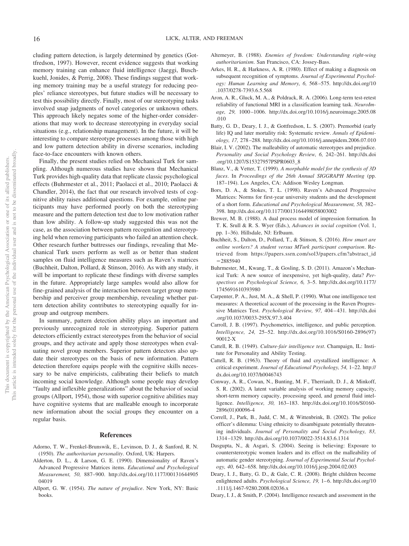cluding pattern detection, is largely determined by genetics (Gottfredson, 1997). However, recent evidence suggests that working memory training can enhance fluid intelligence (Jaeggi, Buschkuehl, Jonides, & Perrig, 2008). These findings suggest that working memory training may be a useful strategy for reducing peoples' reliance stereotypes, but future studies will be necessary to test this possibility directly. Finally, most of our stereotyping tasks involved snap judgments of novel categories or unknown others. This approach likely negates some of the higher-order considerations that may work to decrease stereotyping in everyday social situations (e.g., relationship management). In the future, it will be interesting to compare stereotype processes among those with high and low pattern detection ability in diverse scenarios, including face-to-face encounters with known others.

Finally, the present studies relied on Mechanical Turk for sampling. Although numerous studies have shown that Mechanical Turk provides high-quality data that replicate classic psychological effects (Buhrmester et al., 2011; [Paolacci et al., 2010;](#page-18-3) Paolacci & Chandler, 2014), the fact that our research involved tests of cognitive ability raises additional questions. For example, online participants may have performed poorly on both the stereotyping measure and the pattern detection test due to low motivation rather than low ability. A follow-up study suggested this was not the case, as the association between pattern recognition and stereotyping held when removing participants who failed an attention check. Other research further buttresses our findings, revealing that Mechanical Turk users perform as well as or better than student samples on fluid intelligence measures such as Raven's matrices (Buchheit, Dalton, Pollard, & Stinson, 2016). As with any study, it will be important to replicate these findings with diverse samples in the future. Appropriately large samples would also allow for fine-grained analysis of the interaction between target group membership and perceiver group membership, revealing whether pattern detection ability contributes to stereotyping equally for ingroup and outgroup members.

In summary, pattern detection ability plays an important and previously unrecognized role in stereotyping. Superior pattern detectors efficiently extract stereotypes from the behavior of social groups, and they activate and apply those stereotypes when evaluating novel group members. Superior pattern detectors also update their stereotypes on the basis of new information. Pattern detection therefore equips people with the cognitive skills necessary to be naïve empiricists, calibrating their beliefs to match incoming social knowledge. Although some people may develop "faulty and inflexible generalizations" about the behavior of social groups (Allport, 1954), those with superior cognitive abilities may have cognitive systems that are malleable enough to incorporate new information about the social groups they encounter on a regular basis.

#### **References**

- Adorno, T. W., Frenkel-Brunswik, E., Levinson, D. J., & Sanford, R. N. (1950). *The authoritarian personality*. Oxford, UK: Harpers.
- Alderton, D. L., & Larson, G. E. (1990). Dimensionality of Raven's Advanced Progressive Matrices items. *Educational and Psychological Measurement, 50,* 887–900. [http://dx.doi.org/10.1177/00131644905](http://dx.doi.org/10.1177/0013164490504019) [04019](http://dx.doi.org/10.1177/0013164490504019)
- Allport, G. W. (1954). *The nature of prejudice*. New York, NY: Basic books.
- Altemeyer, B. (1988). *Enemies of freedom: Understanding right-wing authoritarianism*. San Francisco, CA: Jossey-Bass.
- Arkes, H. R., & Harkness, A. R. (1980). Effect of making a diagnosis on subsequent recognition of symptoms. *Journal of Experimental Psychology: Human Learning and Memory, 6,* 568 –575. [http://dx.doi.org/10](http://dx.doi.org/10.1037/0278-7393.6.5.568) [.1037/0278-7393.6.5.568](http://dx.doi.org/10.1037/0278-7393.6.5.568)
- Aron, A. R., Gluck, M. A., & Poldrack, R. A. (2006). Long-term test-retest reliability of functional MRI in a classification learning task. *NeuroImage, 29,* 1000 –1006. [http://dx.doi.org/10.1016/j.neuroimage.2005.08](http://dx.doi.org/10.1016/j.neuroimage.2005.08.010) [.010](http://dx.doi.org/10.1016/j.neuroimage.2005.08.010)
- Batty, G. D., Deary, I. J., & Gottfredson, L. S. (2007). Premorbid (early life) IQ and later mortality risk: Systematic review. *Annals of Epidemiology, 17,* 278 –288.<http://dx.doi.org/10.1016/j.annepidem.2006.07.010>
- <span id="page-16-1"></span>Blair, I. V. (2002). The malleability of automatic stereotypes and prejudice. *Personality and Social Psychology Review, 6,* 242–261. [http://dx.doi](http://dx.doi.org/10.1207/S15327957PSPR0603_8) [.org/10.1207/S15327957PSPR0603\\_8](http://dx.doi.org/10.1207/S15327957PSPR0603_8)
- <span id="page-16-0"></span>Blanz, V., & Vetter, T. (1999). *A morphable model for the synthesis of 3D faces*. In *Proceedings of the 26th Annual SIGGRAPH Meeting* (pp. 187–194). Los Angeles, CA: Addison Wesley Longman.
- Bors, D. A., & Stokes, T. L. (1998). Raven's Advanced Progressive Matrices: Norms for first-year university students and the development of a short form. *Educational and Psychological Measurement, 58,* 382– 398.<http://dx.doi.org/10.1177/0013164498058003002>
- Brewer, M. B. (1988). A dual process model of impression formation. In T. K. Srull & R. S. Wyer (Eds.), *Advances in social cognition* (Vol. 1, pp. 1–36). Hillsdale, NJ: Erlbaum.
- Buchheit, S., Dalton, D., Pollard, T., & Stinson, S. (2016). *How smart are online workers? A student versus MTurk participant comparison*. Retrieved from [https://papers.ssrn.com/sol3/papers.cfm?abstract\\_id](https://papers.ssrn.com/sol3/papers.cfm?abstract_id=2885940)  $= 2885940$  $= 2885940$
- Buhrmester, M., Kwang, T., & Gosling, S. D. (2011). Amazon's Mechanical Turk: A new source of inexpensive, yet high-quality, data? *Perspectives on Psychological Science, 6,* 3–5. [http://dx.doi.org/10.1177/](http://dx.doi.org/10.1177/1745691610393980) [1745691610393980](http://dx.doi.org/10.1177/1745691610393980)
- Carpenter, P. A., Just, M. A., & Shell, P. (1990). What one intelligence test measures: A theoretical account of the processing in the Raven Progressive Matrices Test. *Psychological Review, 97,* 404 – 431. [http://dx.doi](http://dx.doi.org/10.1037/0033-295X.97.3.404) [.org/10.1037/0033-295X.97.3.404](http://dx.doi.org/10.1037/0033-295X.97.3.404)
- Carroll, J. B. (1997). Psychometrics, intelligence, and public perception. *Intelligence, 24,* 25–52. [http://dx.doi.org/10.1016/S0160-2896\(97\)](http://dx.doi.org/10.1016/S0160-2896%2897%2990012-X) [90012-X](http://dx.doi.org/10.1016/S0160-2896%2897%2990012-X)
- Cattell, R. B. (1949). *Culture-fair intelligence test*. Champaign, IL: Institute for Personality and Ability Testing.
- Cattell, R. B. (1963). Theory of fluid and crystallized intelligence: A critical experiment. *Journal of Educational Psychology, 54,* 1–22. [http://](http://dx.doi.org/10.1037/h0046743) [dx.doi.org/10.1037/h0046743](http://dx.doi.org/10.1037/h0046743)
- Conway, A. R., Cowan, N., Bunting, M. F., Therriault, D. J., & Minkoff, S. R. (2002). A latent variable analysis of working memory capacity, short-term memory capacity, processing speed, and general fluid intelligence. *Intelligence, 30,* 163–183. [http://dx.doi.org/10.1016/S0160-](http://dx.doi.org/10.1016/S0160-2896%2801%2900096-4) [2896\(01\)00096-4](http://dx.doi.org/10.1016/S0160-2896%2801%2900096-4)
- Correll, J., Park, B., Judd, C. M., & Wittenbrink, B. (2002). The police officer's dilemma: Using ethnicity to disambiguate potentially threatening individuals. *Journal of Personality and Social Psychology, 83,* 1314 –1329.<http://dx.doi.org/10.1037/0022-3514.83.6.1314>
- Dasgupta, N., & Asgari, S. (2004). Seeing is believing: Exposure to counterstereotypic women leaders and its effect on the malleability of automatic gender stereotyping. *Journal of Experimental Social Psychology, 40,* 642– 658.<http://dx.doi.org/10.1016/j.jesp.2004.02.003>
- Deary, I. J., Batty, G. D., & Gale, C. R. (2008). Bright children become enlightened adults. *Psychological Science*, 19, 1-6. [http://dx.doi.org/10](http://dx.doi.org/10.1111/j.1467-9280.2008.02036.x) [.1111/j.1467-9280.2008.02036.x](http://dx.doi.org/10.1111/j.1467-9280.2008.02036.x)
- Deary, I. J., & Smith, P. (2004). Intelligence research and assessment in the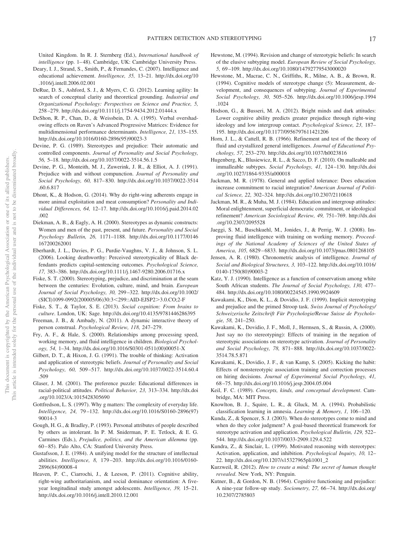United Kingdom. In R. J. Sternberg (Ed.), *International handbook of* intelligence (pp. 1-48). Cambridge, UK: Cambridge University Press.

- Deary, I. J., Strand, S., Smith, P., & Fernandes, C. (2007). Intelligence and educational achievement. *Intelligence, 35,* 13–21. [http://dx.doi.org/10](http://dx.doi.org/10.1016/j.intell.2006.02.001) [.1016/j.intell.2006.02.001](http://dx.doi.org/10.1016/j.intell.2006.02.001)
- DeRue, D. S., Ashford, S. J., & Myers, C. G. (2012). Learning agility: In search of conceptual clarity and theoretical grounding. *Industrial and Organizational Psychology: Perspectives on Science and Practice, 5,* 258 –279.<http://dx.doi.org/10.1111/j.1754-9434.2012.01444.x>
- DeShon, R. P., Chan, D., & Weissbein, D. A. (1995). Verbal overshadowing effects on Raven's Advanced Progressive Matrices: Evidence for multidimensional performance determinants. *Intelligence, 21,* 135–155. [http://dx.doi.org/10.1016/0160-2896\(95\)90023-3](http://dx.doi.org/10.1016/0160-2896%2895%2990023-3)
- Devine, P. G. (1989). Stereotypes and prejudice: Their automatic and controlled components. *Journal of Personality and Social Psychology, 56,* 5–18.<http://dx.doi.org/10.1037/0022-3514.56.1.5>
- Devine, P. G., Monteith, M. J., Zuwerink, J. R., & Elliot, A. J. (1991). Prejudice with and without compunction. *Journal of Personality and Social Psychology, 60,* 817– 830. [http://dx.doi.org/10.1037/0022-3514](http://dx.doi.org/10.1037/0022-3514.60.6.817) [.60.6.817](http://dx.doi.org/10.1037/0022-3514.60.6.817)
- Dhont, K., & Hodson, G. (2014). Why do right-wing adherents engage in more animal exploitation and meat consumption? *Personality and Individual Differences, 64,* 12–17. [http://dx.doi.org/10.1016/j.paid.2014.02](http://dx.doi.org/10.1016/j.paid.2014.02.002) [.002](http://dx.doi.org/10.1016/j.paid.2014.02.002)
- Diekman, A. B., & Eagly, A. H. (2000). Stereotypes as dynamic constructs: Women and men of the past, present, and future. *Personality and Social Psychology Bulletin, 26,* 1171–1188. [http://dx.doi.org/10.1177/0146](http://dx.doi.org/10.1177/0146167200262001) [167200262001](http://dx.doi.org/10.1177/0146167200262001)
- Eberhardt, J. L., Davies, P. G., Purdie-Vaughns, V. J., & Johnson, S. L. (2006). Looking deathworthy: Perceived stereotypicality of Black defendants predicts capital-sentencing outcomes. *Psychological Science, 17,* 383–386.<http://dx.doi.org/10.1111/j.1467-9280.2006.01716.x>
- Fiske, S. T. (2000). Stereotyping, prejudice, and discrimination at the seam between the centuries: Evolution, culture, mind, and brain. *European Journal of Social Psychology, 30,* 299 –322. [http://dx.doi.org/10.1002/](http://dx.doi.org/10.1002/%28SICI%291099-0992%28200005/06%2930:3%3C299::AID-EJSP2%3E3.0.CO;2-F) [\(SICI\)1099-0992\(200005/06\)30:3](http://dx.doi.org/10.1002/%28SICI%291099-0992%28200005/06%2930:3%3C299::AID-EJSP2%3E3.0.CO;2-F)<299::AID-EJSP2>3.0.CO;2-F
- Fiske, S. T., & Taylor, S. E. (2013). *Social cognition: From brains to culture*. London, UK: Sage.<http://dx.doi.org/10.4135/9781446286395>
- Freeman, J. B., & Ambady, N. (2011). A dynamic interactive theory of person construal. *Psychological Review, 118,* 247–279.
- Fry, A. F., & Hale, S. (2000). Relationships among processing speed, working memory, and fluid intelligence in children. *Biological Psychology, 54,* 1–34. [http://dx.doi.org/10.1016/S0301-0511\(00\)00051-X](http://dx.doi.org/10.1016/S0301-0511%2800%2900051-X)
- Gilbert, D. T., & Hixon, J. G. (1991). The trouble of thinking: Activation and application of stereotypic beliefs. *Journal of Personality and Social Psychology, 60,* 509 –517. [http://dx.doi.org/10.1037/0022-3514.60.4](http://dx.doi.org/10.1037/0022-3514.60.4.509) [.509](http://dx.doi.org/10.1037/0022-3514.60.4.509)
- <span id="page-17-3"></span>Glaser, J. M. (2001). The preference puzzle: Educational differences in racial-political attitudes. *Political Behavior, 23,* 313–334. [http://dx.doi](http://dx.doi.org/10.1023/A:1015428305690) [.org/10.1023/A:1015428305690](http://dx.doi.org/10.1023/A:1015428305690)
- Gottfredson, L. S. (1997). Why g matters: The complexity of everyday life. *Intelligence, 24,* 79 –132. [http://dx.doi.org/10.1016/S0160-2896\(97\)](http://dx.doi.org/10.1016/S0160-2896%2897%2990014-3) [90014-3](http://dx.doi.org/10.1016/S0160-2896%2897%2990014-3)
- <span id="page-17-2"></span>Gough, H. G., & Bradley, P. (1993). Personal attributes of people described by others as intolerant. In P. M. Sniderman, P. E. Tetlock, & E. G. Carmines (Eds.), *Prejudice, politics, and the American dilemma* (pp. 60 – 85). Palo Alto, CA: Stanford University Press.
- Gustafsson, J. E. (1984). A unifying model for the structure of intellectual abilities. *Intelligence, 8,* 179 –203. [http://dx.doi.org/10.1016/0160-](http://dx.doi.org/10.1016/0160-2896%2884%2990008-4) [2896\(84\)90008-4](http://dx.doi.org/10.1016/0160-2896%2884%2990008-4)
- <span id="page-17-1"></span>Heaven, P. C., Ciarrochi, J., & Leeson, P. (2011). Cognitive ability, right-wing authoritarianism, and social dominance orientation: A fiveyear longitudinal study amongst adolescents. *Intelligence, 39,* 15–21. <http://dx.doi.org/10.1016/j.intell.2010.12.001>
- Hewstone, M. (1994). Revision and change of stereotypic beliefs: In search of the elusive subtyping model. *European Review of Social Psychology, 5,* 69 –109.<http://dx.doi.org/10.1080/14792779543000020>
- Hewstone, M., Macrae, C. N., Griffiths, R., Milne, A. B., & Brown, R. (1994). Cognitive models of stereotype change (5): Measurement, development, and consequences of subtyping. *Journal of Experimental Social Psychology, 30,* 505–526. [http://dx.doi.org/10.1006/jesp.1994](http://dx.doi.org/10.1006/jesp.1994.1024) [.1024](http://dx.doi.org/10.1006/jesp.1994.1024)
- Hodson, G., & Busseri, M. A. (2012). Bright minds and dark attitudes: Lower cognitive ability predicts greater prejudice through right-wing ideology and low intergroup contact. *Psychological Science, 23,* 187– 195.<http://dx.doi.org/10.1177/0956797611421206>
- Horn, J. L., & Cattell, R. B. (1966). Refinement and test of the theory of fluid and crystallized general intelligences. *Journal of Educational Psychology, 57,* 253–270.<http://dx.doi.org/10.1037/h0023816>
- Hugenberg, K., Blusiewicz, R. L., & Sacco, D. F. (2010). On malleable and immalleable subtypes. *Social Psychology, 41,* 124 –130. [http://dx.doi](http://dx.doi.org/10.1027/1864-9335/a000018) [.org/10.1027/1864-9335/a000018](http://dx.doi.org/10.1027/1864-9335/a000018)
- Jackman, M. R. (1978). General and applied tolerance: Does education increase commitment to racial integration? *American Journal of Political Science, 22,* 302–324.<http://dx.doi.org/10.2307/2110618>
- Jackman, M. R., & Muha, M. J. (1984). Education and intergroup attitudes: Moral enlightenment, superficial democratic commitment, or ideological refinement? *American Sociological Review, 49,* 751–769. [http://dx.doi](http://dx.doi.org/10.2307/2095528) [.org/10.2307/2095528](http://dx.doi.org/10.2307/2095528)
- Jaeggi, S. M., Buschkuehl, M., Jonides, J., & Perrig, W. J. (2008). Improving fluid intelligence with training on working memory. *Proceedings of the National Academy of Sciences of the United States of America, 105,* 6829 – 6833.<http://dx.doi.org/10.1073/pnas.0801268105>
- Jensen, A. R. (1980). Chronometric analysis of intelligence. *Journal of Social and Biological Structures, 3,* 103–122. [http://dx.doi.org/10.1016/](http://dx.doi.org/10.1016/0140-1750%2880%2990003-2) [0140-1750\(80\)90003-2](http://dx.doi.org/10.1016/0140-1750%2880%2990003-2)
- Katz, Y. J. (1990). Intelligence as a function of conservatism among white South African students. *The Journal of Social Psychology, 130,* 477– 484.<http://dx.doi.org/10.1080/00224545.1990.9924609>
- Kawakami, K., Dion, K. L., & Dovidio, J. F. (1999). Implicit stereotyping and prejudice and the primed Stroop task. *Swiss Journal of Psychology/ Schweizerische Zeitschrift Für Psychologie/Revue Suisse de Psychologie, 58,* 241–250.
- Kawakami, K., Dovidio, J. F., Moll, J., Hermsen, S., & Russin, A. (2000). Just say no (to stereotyping): Effects of training in the negation of stereotypic associations on stereotype activation. *Journal of Personality and Social Psychology, 78,* 871– 888. [http://dx.doi.org/10.1037/0022-](http://dx.doi.org/10.1037/0022-3514.78.5.871) [3514.78.5.871](http://dx.doi.org/10.1037/0022-3514.78.5.871)
- Kawakami, K., Dovidio, J. F., & van Kamp, S. (2005). Kicking the habit: Effects of nonstereotypic association training and correction processes on hiring decisions. *Journal of Experimental Social Psychology, 41,* 68 –75.<http://dx.doi.org/10.1016/j.jesp.2004.05.004>
- Keil, F. C. (1989). *Concepts, kinds, and conceptual development*. Cambridge, MA: MIT Press.
- Knowlton, B. J., Squire, L. R., & Gluck, M. A. (1994). Probabilistic classification learning in amnesia. *Learning & Memory, 1,* 106 –120.
- <span id="page-17-4"></span>Kunda, Z., & Spencer, S. J. (2003). When do stereotypes come to mind and when do they color judgment? A goal-based theoretical framework for stereotype activation and application. *Psychological Bulletin, 129,* 522– 544.<http://dx.doi.org/10.1037/0033-2909.129.4.522>
- Kundra, Z., & Sinclair, L. (1999). Motivated reasoning with stereotypes: Activation, application, and inhibition. *Psychological Inquiry, 10,* 12– 22. [http://dx.doi.org/10.1207/s15327965pli1001\\_2](http://dx.doi.org/10.1207/s15327965pli1001_2)
- <span id="page-17-0"></span>Kurzweil, R. (2012). *How to create a mind: The secret of human thought revealed*. New York, NY: Penguin.
- Kutner, B., & Gordon, N. B. (1964). Cognitive functioning and prejudice: A nine-year follow-up study. *Sociometry, 27,* 66 –74. [http://dx.doi.org/](http://dx.doi.org/10.2307/2785803) [10.2307/2785803](http://dx.doi.org/10.2307/2785803)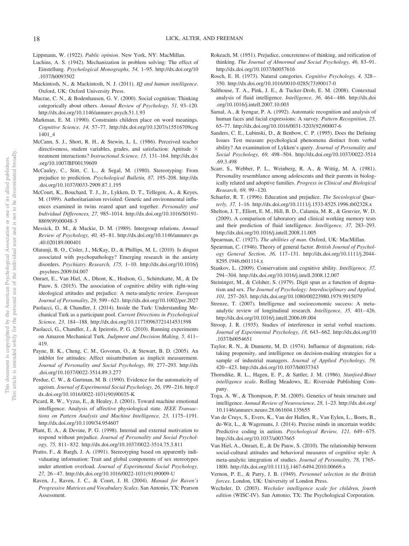- Lippmann, W. (1922). *Public opinion*. New York, NY: MacMillan.
- Luchins, A. S. (1942). Mechanization in problem solving: The effect of Einstellung. *Psychological Monographs, 54,* 1–95. [http://dx.doi.org/10](http://dx.doi.org/10.1037/h0093502) [.1037/h0093502](http://dx.doi.org/10.1037/h0093502)
- Mackintosh, N., & Mackintosh, N. J. (2011). *IQ and human intelligence*. Oxford, UK: Oxford University Press.
- Macrae, C. N., & Bodenhausen, G. V. (2000). Social cognition: Thinking categorically about others. *Annual Review of Psychology, 51,* 93–120. <http://dx.doi.org/10.1146/annurev.psych.51.1.93>
- Markman, E. M. (1990). Constraints children place on word meanings. *Cognitive Science, 14,* 57–77. [http://dx.doi.org/10.1207/s15516709cog](http://dx.doi.org/10.1207/s15516709cog1401_4) [1401\\_4](http://dx.doi.org/10.1207/s15516709cog1401_4)
- McCann, S. J., Short, R. H., & Stewin, L. L. (1986). Perceived teacher directiveness, student variables, grades, and satisfaction: Aptitude  $\times$ treatment interactions? *Instructional Science, 15,* 131–164. [http://dx.doi](http://dx.doi.org/10.1007/BF00139609) [.org/10.1007/BF00139609](http://dx.doi.org/10.1007/BF00139609)
- McCauley, C., Stitt, C. L., & Segal, M. (1980). Stereotyping: From prejudice to prediction. *Psychological Bulletin, 87,* 195–208. [http://dx](http://dx.doi.org/10.1037/0033-2909.87.1.195) [.doi.org/10.1037/0033-2909.87.1.195](http://dx.doi.org/10.1037/0033-2909.87.1.195)
- McCourt, K., Bouchard, T. J., Jr., Lykken, D. T., Tellegen, A., & Keyes, M. (1999). Authoritarianism revisited: Genetic and environmental influences examined in twins reared apart and together. *Personality and Individual Differences, 27,* 985–1014. [http://dx.doi.org/10.1016/S0191-](http://dx.doi.org/10.1016/S0191-8869%2899%2900048-3) [8869\(99\)00048-3](http://dx.doi.org/10.1016/S0191-8869%2899%2900048-3)
- Messick, D. M., & Mackie, D. M. (1989). Intergroup relations. *Annual Review of Psychology, 40,* 45– 81. [http://dx.doi.org/10.1146/annurev.ps](http://dx.doi.org/10.1146/annurev.ps.40.020189.000401) [.40.020189.000401](http://dx.doi.org/10.1146/annurev.ps.40.020189.000401)
- Olatunji, B. O., Cisler, J., McKay, D., & Phillips, M. L. (2010). Is disgust associated with psychopathology? Emerging research in the anxiety disorders. *Psychiatry Research, 175,* 1–10. [http://dx.doi.org/10.1016/j](http://dx.doi.org/10.1016/j.psychres.2009.04.007) [.psychres.2009.04.007](http://dx.doi.org/10.1016/j.psychres.2009.04.007)
- <span id="page-18-1"></span>Onraet, E., Van Hiel, A., Dhont, K., Hodson, G., Schittekatte, M., & De Pauw, S. (2015). The association of cognitive ability with right-wing ideological attitudes and prejudice: A meta-analytic review. *European Journal of Personality, 29,* 599 – 621.<http://dx.doi.org/10.1002/per.2027>
- Paolacci, G., & Chandler, J. (2014). Inside the Turk: Understanding Mechanical Turk as a participant pool. *Current Directions in Psychological Science, 23,* 184 –188.<http://dx.doi.org/10.1177/0963721414531598>
- <span id="page-18-3"></span>Paolacci, G., Chandler, J., & Ipeirotis, P. G. (2010). Running experiments on Amazon Mechanical Turk. *Judgment and Decision Making, 5,* 411– 419.
- Payne, B. K., Cheng, C. M., Govorun, O., & Stewart, B. D. (2005). An inkblot for attitudes: Affect misattribution as implicit measurement. *Journal of Personality and Social Psychology, 89,* 277–293. [http://dx](http://dx.doi.org/10.1037/0022-3514.89.3.277) [.doi.org/10.1037/0022-3514.89.3.277](http://dx.doi.org/10.1037/0022-3514.89.3.277)
- <span id="page-18-4"></span>Perdue, C. W., & Gurtman, M. B. (1990). Evidence for the automaticity of ageism. *Journal of Experimental Social Psychology, 26,* 199 –216. [http://](http://dx.doi.org/10.1016/0022-1031%2890%2990035-K) [dx.doi.org/10.1016/0022-1031\(90\)90035-K](http://dx.doi.org/10.1016/0022-1031%2890%2990035-K)
- Picard, R. W., Vyzas, E., & Healey, J. (2001). Toward machine emotional intelligence: Analysis of affective physiological state. *IEEE Transactions on Pattern Analysis and Machine Intelligence, 23,* 1175–1191. <http://dx.doi.org/10.1109/34.954607>
- <span id="page-18-2"></span>Plant, E. A., & Devine, P. G. (1998). Internal and external motivation to respond without prejudice. *Journal of Personality and Social Psychology, 75,* 811– 832.<http://dx.doi.org/10.1037/0022-3514.75.3.811>
- Pratto, F., & Bargh, J. A. (1991). Stereotyping based on apparently individuating information: Trait and global components of sex stereotypes under attention overload. *Journal of Experimental Social Psychology, 27,* 26 – 47. [http://dx.doi.org/10.1016/0022-1031\(91\)90009-U](http://dx.doi.org/10.1016/0022-1031%2891%2990009-U)
- <span id="page-18-0"></span>Raven, J., Raven, J. C., & Court, J. H. (2004). *Manual for Raven's Progressive Matrices and Vocabulary Scales*. San Antonio, TX: Pearson Assessment.
- Rokeach, M. (1951). Prejudice, concreteness of thinking, and reification of thinking. *The Journal of Abnormal and Social Psychology, 46,* 83–91. <http://dx.doi.org/10.1037/h0057616>
- Rosch, E. H. (1973). Natural categories. *Cognitive Psychology, 4,* 328 350. [http://dx.doi.org/10.1016/0010-0285\(73\)90017-0](http://dx.doi.org/10.1016/0010-0285%2873%2990017-0)
- Salthouse, T. A., Pink, J. E., & Tucker-Drob, E. M. (2008). Contextual analysis of fluid intelligence. *Intelligence, 36,* 464 – 486. [http://dx.doi](http://dx.doi.org/10.1016/j.intell.2007.10.003) [.org/10.1016/j.intell.2007.10.003](http://dx.doi.org/10.1016/j.intell.2007.10.003)
- Samal, A., & Iyengar, P. A. (1992). Automatic recognition and analysis of human faces and facial expressions: A survey. *Pattern Recognition, 25,* 65–77. [http://dx.doi.org/10.1016/0031-3203\(92\)90007-6](http://dx.doi.org/10.1016/0031-3203%2892%2990007-6)
- Sanders, C. E., Lubinski, D., & Benbow, C. P. (1995). Does the Defining Issues Test measure psychological phenomena distinct from verbal ability? An examination of Lykken's query. *Journal of Personality and Social Psychology, 69,* 498 –504. [http://dx.doi.org/10.1037/0022-3514](http://dx.doi.org/10.1037/0022-3514.69.3.498) [.69.3.498](http://dx.doi.org/10.1037/0022-3514.69.3.498)
- Scarr, S., Webber, P. L., Weinberg, R. A., & Wittig, M. A. (1981). Personality resemblance among adolescents and their parents in biologically related and adoptive families. *Progress in Clinical and Biological Research, 69,* 99 –120.
- Schaefer, R. T. (1996). Education and prejudice. *The Sociological Quarterly, 37,* 1–16.<http://dx.doi.org/10.1111/j.1533-8525.1996.tb02328.x>
- Shelton, J. T., Elliott, E. M., Hill, B. D., Calamia, M. R., & Gouvier, W. D. (2009). A comparison of laboratory and clinical working memory tests and their prediction of fluid intelligence. *Intelligence, 37,* 283–293. <http://dx.doi.org/10.1016/j.intell.2008.11.005>
- Spearman, C. (1927). *The abilities of man*. Oxford, UK: MacMillan.
- Spearman, C. (1946). Theory of general factor. *British Journal of Psychology General Section, 36,* 117–131. [http://dx.doi.org/10.1111/j.2044-](http://dx.doi.org/10.1111/j.2044-8295.1946.tb01114.x) [8295.1946.tb01114.x](http://dx.doi.org/10.1111/j.2044-8295.1946.tb01114.x)
- Stankov, L. (2009). Conservatism and cognitive ability. *Intelligence, 37,* 294 –304.<http://dx.doi.org/10.1016/j.intell.2008.12.007>
- Steininger, M., & Colsher, S. (1979). Digit span as a function of dogmatism and sex. *The Journal of Psychology: Interdisciplinary and Applied, 101,* 257–263.<http://dx.doi.org/10.1080/00223980.1979.9915079>
- Strenze, T. (2007). Intelligence and socioeconomic success: A metaanalytic review of longitudinal research. *Intelligence*, 35, 401-426. <http://dx.doi.org/10.1016/j.intell.2006.09.004>
- Stroop, J. R. (1935). Studies of interference in serial verbal reactions. *Journal of Experimental Psychology, 18,* 643– 662. [http://dx.doi.org/10](http://dx.doi.org/10.1037/h0054651) [.1037/h0054651](http://dx.doi.org/10.1037/h0054651)
- Taylor, R. N., & Dunnette, M. D. (1974). Influence of dogmatism, risktaking propensity, and intelligence on decision-making strategies for a sample of industrial managers. *Journal of Applied Psychology, 59,* 420 – 423.<http://dx.doi.org/10.1037/h0037343>
- Thorndike, R. L., Hagen, E. P., & Sattler, J. M. (1986). *Stanford-Binet intelligence scale*. Rolling Meadows, IL: Riverside Publishing Company.
- Toga, A. W., & Thompson, P. M. (2005). Genetics of brain structure and intelligence. *Annual Review of Neuroscience, 28,* 1–23. [http://dx.doi.org/](http://dx.doi.org/10.1146/annurev.neuro.28.061604.135655) [10.1146/annurev.neuro.28.061604.135655](http://dx.doi.org/10.1146/annurev.neuro.28.061604.135655)
- Van de Cruys, S., Evers, K., Van der Hallen, R., Van Eylen, L., Boets, B., de-Wit, L., & Wagemans, J. (2014). Precise minds in uncertain worlds: Predictive coding in autism. *Psychological Review, 121, 649-675*. <http://dx.doi.org/10.1037/a0037665>
- Van Hiel, A., Onraet, E., & De Pauw, S. (2010). The relationship between social-cultural attitudes and behavioral measures of cognitive style: A meta-analytic integration of studies. *Journal of Personality, 78,* 1765– 1800.<http://dx.doi.org/10.1111/j.1467-6494.2010.00669.x>
- Vernon, P. E., & Parry, J. B. (1949). *Personnel selection in the British forces*. London, UK: University of London Press.
- Wechsler, D. (2003). *Wechsler intelligence scale for children, fourth edition* (WISC-IV). San Antonio, TX: The Psychological Corporation.